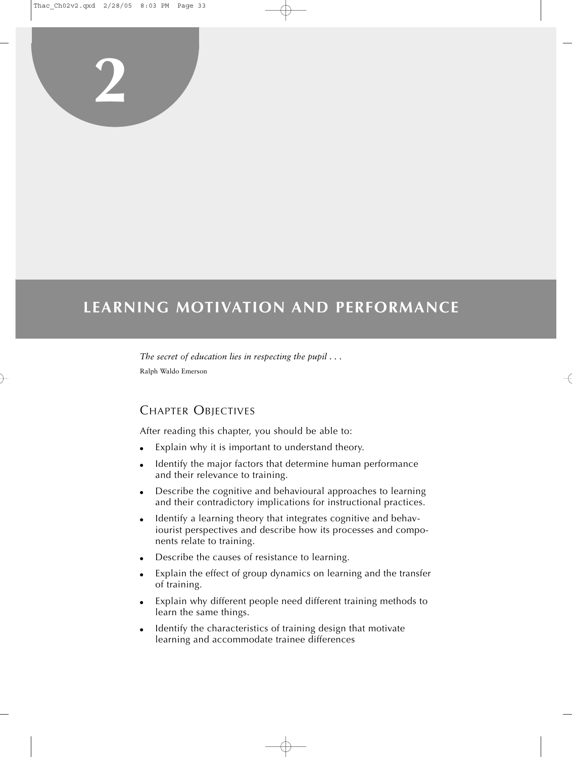**2**

# **LEARNING MOTIVATION AND PERFORMANCE**

*The secret of education lies in respecting the pupil . . .* Ralph Waldo Emerson

## CHAPTER OBJECTIVES

After reading this chapter, you should be able to:

- Explain why it is important to understand theory.
- Identify the major factors that determine human performance and their relevance to training.
- Describe the cognitive and behavioural approaches to learning and their contradictory implications for instructional practices.
- Identify a learning theory that integrates cognitive and behaviourist perspectives and describe how its processes and components relate to training.
- Describe the causes of resistance to learning.
- Explain the effect of group dynamics on learning and the transfer of training.
- Explain why different people need different training methods to learn the same things.
- Identify the characteristics of training design that motivate learning and accommodate trainee differences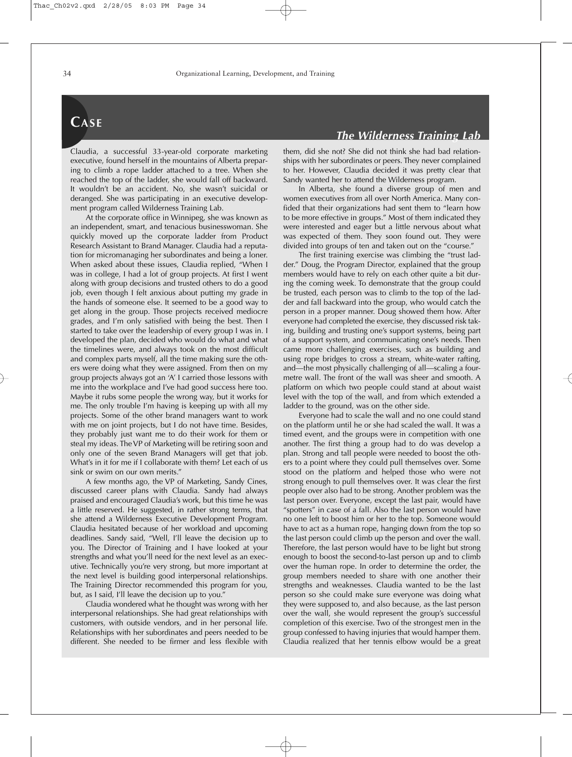# **CASE**

Claudia, a successful 33-year-old corporate marketing executive, found herself in the mountains of Alberta preparing to climb a rope ladder attached to a tree. When she reached the top of the ladder, she would fall off backward. It wouldn't be an accident. No, she wasn't suicidal or deranged. She was participating in an executive development program called Wilderness Training Lab.

At the corporate office in Winnipeg, she was known as an independent, smart, and tenacious businesswoman. She quickly moved up the corporate ladder from Product Research Assistant to Brand Manager. Claudia had a reputation for micromanaging her subordinates and being a loner. When asked about these issues, Claudia replied, "When I was in college, I had a lot of group projects. At first I went along with group decisions and trusted others to do a good job, even though I felt anxious about putting my grade in the hands of someone else. It seemed to be a good way to get along in the group. Those projects received mediocre grades, and I'm only satisfied with being the best. Then I started to take over the leadership of every group I was in. I developed the plan, decided who would do what and what the timelines were, and always took on the most difficult and complex parts myself, all the time making sure the others were doing what they were assigned. From then on my group projects always got an 'A' I carried those lessons with me into the workplace and I've had good success here too. Maybe it rubs some people the wrong way, but it works for me. The only trouble I'm having is keeping up with all my projects. Some of the other brand managers want to work with me on joint projects, but I do not have time. Besides, they probably just want me to do their work for them or steal my ideas. The VP of Marketing will be retiring soon and only one of the seven Brand Managers will get that job. What's in it for me if I collaborate with them? Let each of us sink or swim on our own merits."

A few months ago, the VP of Marketing, Sandy Cines, discussed career plans with Claudia. Sandy had always praised and encouraged Claudia's work, but this time he was a little reserved. He suggested, in rather strong terms, that she attend a Wilderness Executive Development Program. Claudia hesitated because of her workload and upcoming deadlines. Sandy said, "Well, I'll leave the decision up to you. The Director of Training and I have looked at your strengths and what you'll need for the next level as an executive. Technically you're very strong, but more important at the next level is building good interpersonal relationships. The Training Director recommended this program for you, but, as I said, I'll leave the decision up to you.'

Claudia wondered what he thought was wrong with her interpersonal relationships. She had great relationships with customers, with outside vendors, and in her personal life. Relationships with her subordinates and peers needed to be different. She needed to be firmer and less flexible with them, did she not? She did not think she had bad relation-

*The Wilderness Training Lab*

ships with her subordinates or peers. They never complained to her. However, Claudia decided it was pretty clear that Sandy wanted her to attend the Wilderness program.

In Alberta, she found a diverse group of men and women executives from all over North America. Many confided that their organizations had sent them to "learn how to be more effective in groups." Most of them indicated they were interested and eager but a little nervous about what was expected of them. They soon found out. They were divided into groups of ten and taken out on the "course."

The first training exercise was climbing the "trust ladder." Doug, the Program Director, explained that the group members would have to rely on each other quite a bit during the coming week. To demonstrate that the group could be trusted, each person was to climb to the top of the ladder and fall backward into the group, who would catch the person in a proper manner. Doug showed them how. After everyone had completed the exercise, they discussed risk taking, building and trusting one's support systems, being part of a support system, and communicating one's needs. Then came more challenging exercises, such as building and using rope bridges to cross a stream, white-water rafting, and—the most physically challenging of all—scaling a fourmetre wall. The front of the wall was sheer and smooth. A platform on which two people could stand at about waist level with the top of the wall, and from which extended a ladder to the ground, was on the other side.

Everyone had to scale the wall and no one could stand on the platform until he or she had scaled the wall. It was a timed event, and the groups were in competition with one another. The first thing a group had to do was develop a plan. Strong and tall people were needed to boost the others to a point where they could pull themselves over. Some stood on the platform and helped those who were not strong enough to pull themselves over. It was clear the first people over also had to be strong. Another problem was the last person over. Everyone, except the last pair, would have "spotters" in case of a fall. Also the last person would have no one left to boost him or her to the top. Someone would have to act as a human rope, hanging down from the top so the last person could climb up the person and over the wall. Therefore, the last person would have to be light but strong enough to boost the second-to-last person up and to climb over the human rope. In order to determine the order, the group members needed to share with one another their strengths and weaknesses. Claudia wanted to be the last person so she could make sure everyone was doing what they were supposed to, and also because, as the last person over the wall, she would represent the group's successful completion of this exercise. Two of the strongest men in the group confessed to having injuries that would hamper them. Claudia realized that her tennis elbow would be a great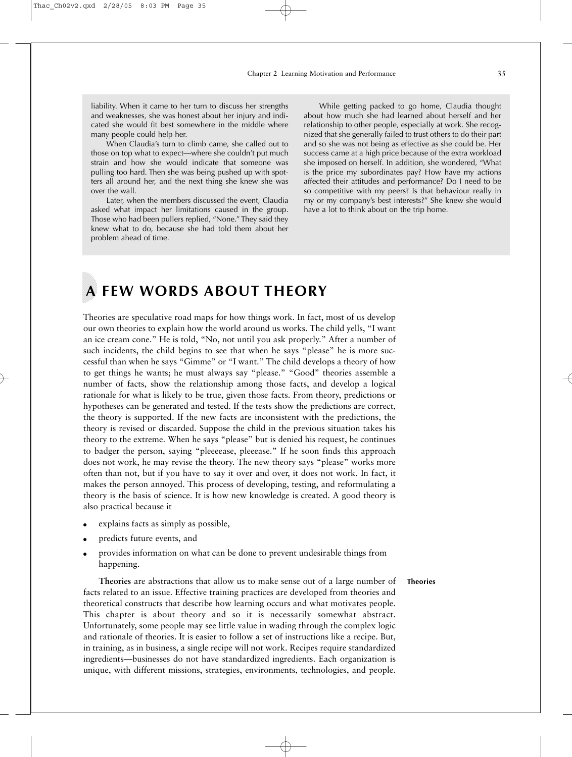liability. When it came to her turn to discuss her strengths and weaknesses, she was honest about her injury and indicated she would fit best somewhere in the middle where many people could help her.

When Claudia's turn to climb came, she called out to those on top what to expect—where she couldn't put much strain and how she would indicate that someone was pulling too hard. Then she was being pushed up with spotters all around her, and the next thing she knew she was over the wall.

Later, when the members discussed the event, Claudia asked what impact her limitations caused in the group. Those who had been pullers replied, "None." They said they knew what to do, because she had told them about her problem ahead of time.

While getting packed to go home, Claudia thought about how much she had learned about herself and her relationship to other people, especially at work. She recognized that she generally failed to trust others to do their part and so she was not being as effective as she could be. Her success came at a high price because of the extra workload she imposed on herself. In addition, she wondered, "What is the price my subordinates pay? How have my actions affected their attitudes and performance? Do I need to be so competitive with my peers? Is that behaviour really in my or my company's best interests?" She knew she would have a lot to think about on the trip home.

# **A FEW WORDS ABOUT THEORY**

Theories are speculative road maps for how things work. In fact, most of us develop our own theories to explain how the world around us works. The child yells, "I want an ice cream cone." He is told, "No, not until you ask properly." After a number of such incidents, the child begins to see that when he says "please" he is more successful than when he says "Gimme" or "I want." The child develops a theory of how to get things he wants; he must always say "please." "Good" theories assemble a number of facts, show the relationship among those facts, and develop a logical rationale for what is likely to be true, given those facts. From theory, predictions or hypotheses can be generated and tested. If the tests show the predictions are correct, the theory is supported. If the new facts are inconsistent with the predictions, the theory is revised or discarded. Suppose the child in the previous situation takes his theory to the extreme. When he says "please" but is denied his request, he continues to badger the person, saying "pleeeease, pleeease." If he soon finds this approach does not work, he may revise the theory. The new theory says "please" works more often than not, but if you have to say it over and over, it does not work. In fact, it makes the person annoyed. This process of developing, testing, and reformulating a theory is the basis of science. It is how new knowledge is created. A good theory is also practical because it

- explains facts as simply as possible,
- predicts future events, and
- provides information on what can be done to prevent undesirable things from happening.

**Theories**

**Theories** are abstractions that allow us to make sense out of a large number of facts related to an issue. Effective training practices are developed from theories and theoretical constructs that describe how learning occurs and what motivates people. This chapter is about theory and so it is necessarily somewhat abstract. Unfortunately, some people may see little value in wading through the complex logic and rationale of theories. It is easier to follow a set of instructions like a recipe. But, in training, as in business, a single recipe will not work. Recipes require standardized ingredients—businesses do not have standardized ingredients. Each organization is unique, with different missions, strategies, environments, technologies, and people.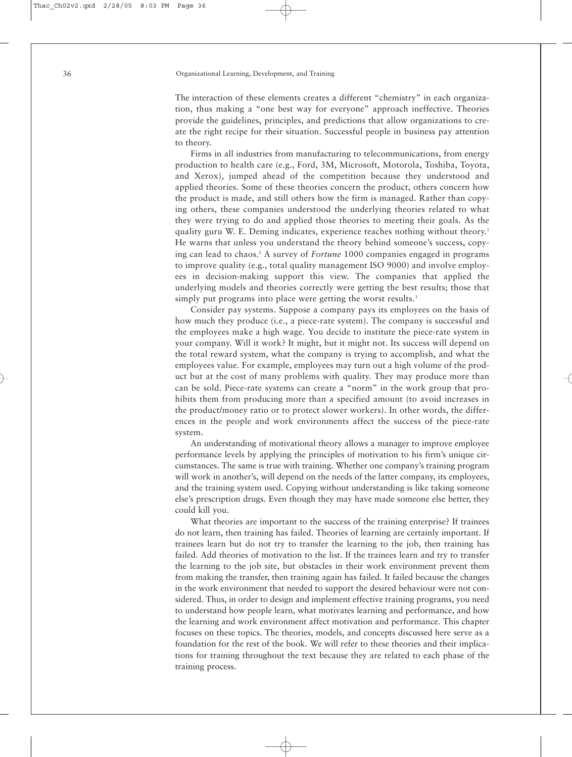The interaction of these elements creates a different "chemistry" in each organization, thus making a "one best way for everyone" approach ineffective. Theories provide the guidelines, principles, and predictions that allow organizations to create the right recipe for their situation. Successful people in business pay attention to theory.

Firms in all industries from manufacturing to telecommunications, from energy production to health care (e.g., Ford, 3M, Microsoft, Motorola, Toshiba, Toyota, and Xerox), jumped ahead of the competition because they understood and applied theories. Some of these theories concern the product, others concern how the product is made, and still others how the firm is managed. Rather than copying others, these companies understood the underlying theories related to what they were trying to do and applied those theories to meeting their goals. As the quality guru W. E. Deming indicates, experience teaches nothing without theory.<sup>1</sup> He warns that unless you understand the theory behind someone's success, copying can lead to chaos.2 A survey of *Fortune* 1000 companies engaged in programs to improve quality (e.g., total quality management ISO 9000) and involve employees in decision-making support this view. The companies that applied the underlying models and theories correctly were getting the best results; those that simply put programs into place were getting the worst results.<sup>3</sup>

Consider pay systems. Suppose a company pays its employees on the basis of how much they produce (i.e., a piece-rate system). The company is successful and the employees make a high wage. You decide to institute the piece-rate system in your company. Will it work? It might, but it might not. Its success will depend on the total reward system, what the company is trying to accomplish, and what the employees value. For example, employees may turn out a high volume of the product but at the cost of many problems with quality. They may produce more than can be sold. Piece-rate systems can create a "norm" in the work group that prohibits them from producing more than a specified amount (to avoid increases in the product/money ratio or to protect slower workers). In other words, the differences in the people and work environments affect the success of the piece-rate system.

An understanding of motivational theory allows a manager to improve employee performance levels by applying the principles of motivation to his firm's unique circumstances. The same is true with training. Whether one company's training program will work in another's, will depend on the needs of the latter company, its employees, and the training system used. Copying without understanding is like taking someone else's prescription drugs. Even though they may have made someone else better, they could kill you.

What theories are important to the success of the training enterprise? If trainees do not learn, then training has failed. Theories of learning are certainly important. If trainees learn but do not try to transfer the learning to the job, then training has failed. Add theories of motivation to the list. If the trainees learn and try to transfer the learning to the job site, but obstacles in their work environment prevent them from making the transfer, then training again has failed. It failed because the changes in the work environment that needed to support the desired behaviour were not considered. Thus, in order to design and implement effective training programs, you need to understand how people learn, what motivates learning and performance, and how the learning and work environment affect motivation and performance. This chapter focuses on these topics. The theories, models, and concepts discussed here serve as a foundation for the rest of the book. We will refer to these theories and their implications for training throughout the text because they are related to each phase of the training process.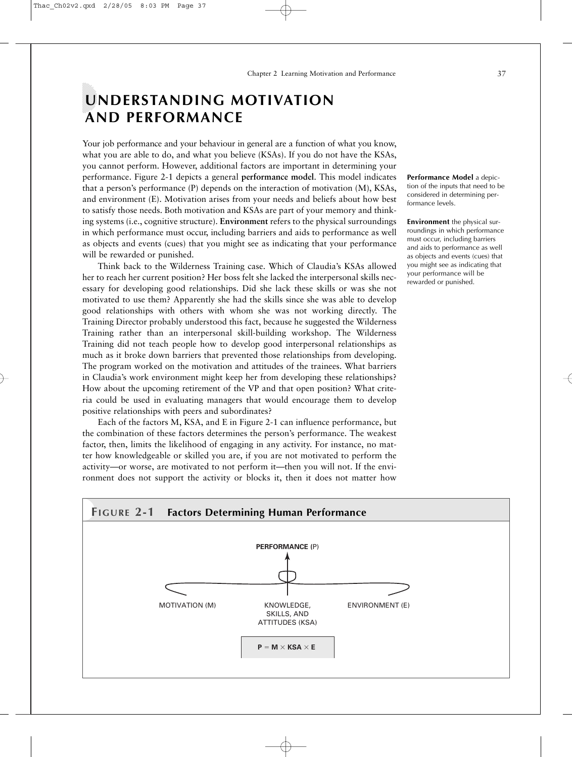## **UNDERSTANDING MOTIVATION AND PERFORMANCE**

Your job performance and your behaviour in general are a function of what you know, what you are able to do, and what you believe (KSAs). If you do not have the KSAs, you cannot perform. However, additional factors are important in determining your performance. Figure 2-1 depicts a general **performance model**. This model indicates that a person's performance (P) depends on the interaction of motivation (M), KSAs, and environment (E). Motivation arises from your needs and beliefs about how best to satisfy those needs. Both motivation and KSAs are part of your memory and thinking systems (i.e., cognitive structure). **Environment** refers to the physical surroundings in which performance must occur, including barriers and aids to performance as well as objects and events (cues) that you might see as indicating that your performance will be rewarded or punished.

Think back to the Wilderness Training case. Which of Claudia's KSAs allowed her to reach her current position? Her boss felt she lacked the interpersonal skills necessary for developing good relationships. Did she lack these skills or was she not motivated to use them? Apparently she had the skills since she was able to develop good relationships with others with whom she was not working directly. The Training Director probably understood this fact, because he suggested the Wilderness Training rather than an interpersonal skill-building workshop. The Wilderness Training did not teach people how to develop good interpersonal relationships as much as it broke down barriers that prevented those relationships from developing. The program worked on the motivation and attitudes of the trainees. What barriers in Claudia's work environment might keep her from developing these relationships? How about the upcoming retirement of the VP and that open position? What criteria could be used in evaluating managers that would encourage them to develop positive relationships with peers and subordinates?

Each of the factors M, KSA, and E in Figure 2-1 can influence performance, but the combination of these factors determines the person's performance. The weakest factor, then, limits the likelihood of engaging in any activity. For instance, no matter how knowledgeable or skilled you are, if you are not motivated to perform the activity—or worse, are motivated to not perform it—then you will not. If the environment does not support the activity or blocks it, then it does not matter how **Performance Model** a depiction of the inputs that need to be considered in determining performance levels.

**Environment** the physical surroundings in which performance must occur, including barriers and aids to performance as well as objects and events (cues) that you might see as indicating that your performance will be rewarded or punished.



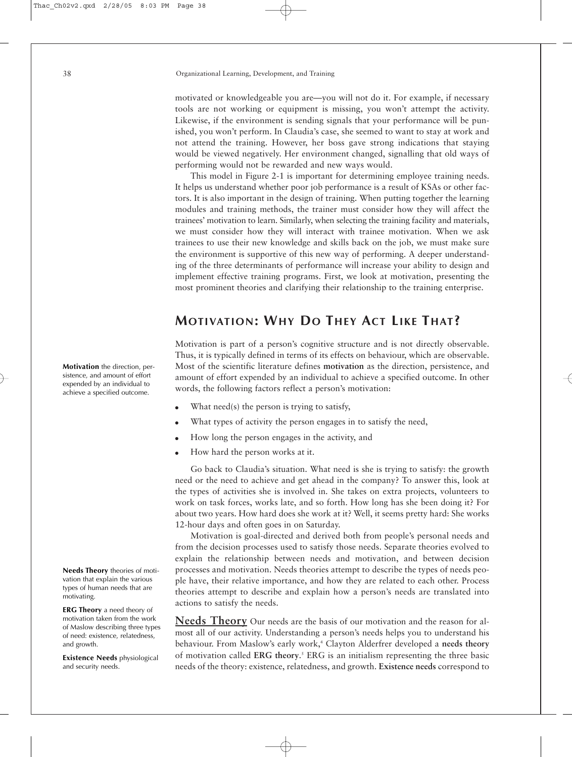motivated or knowledgeable you are—you will not do it. For example, if necessary tools are not working or equipment is missing, you won't attempt the activity. Likewise, if the environment is sending signals that your performance will be punished, you won't perform. In Claudia's case, she seemed to want to stay at work and not attend the training. However, her boss gave strong indications that staying would be viewed negatively. Her environment changed, signalling that old ways of performing would not be rewarded and new ways would.

This model in Figure 2-1 is important for determining employee training needs. It helps us understand whether poor job performance is a result of KSAs or other factors. It is also important in the design of training. When putting together the learning modules and training methods, the trainer must consider how they will affect the trainees' motivation to learn. Similarly, when selecting the training facility and materials, we must consider how they will interact with trainee motivation. When we ask trainees to use their new knowledge and skills back on the job, we must make sure the environment is supportive of this new way of performing. A deeper understanding of the three determinants of performance will increase your ability to design and implement effective training programs. First, we look at motivation, presenting the most prominent theories and clarifying their relationship to the training enterprise.

## **MOTIVATION: WHY DO THEY ACT LIKE THAT?**

Motivation is part of a person's cognitive structure and is not directly observable. Thus, it is typically defined in terms of its effects on behaviour, which are observable. Most of the scientific literature defines **motivation** as the direction, persistence, and amount of effort expended by an individual to achieve a specified outcome. In other words, the following factors reflect a person's motivation:

- What need(s) the person is trying to satisfy,
- What types of activity the person engages in to satisfy the need,
- How long the person engages in the activity, and
- How hard the person works at it.

Go back to Claudia's situation. What need is she is trying to satisfy: the growth need or the need to achieve and get ahead in the company? To answer this, look at the types of activities she is involved in. She takes on extra projects, volunteers to work on task forces, works late, and so forth. How long has she been doing it? For about two years. How hard does she work at it? Well, it seems pretty hard: She works 12-hour days and often goes in on Saturday.

Motivation is goal-directed and derived both from people's personal needs and from the decision processes used to satisfy those needs. Separate theories evolved to explain the relationship between needs and motivation, and between decision processes and motivation. Needs theories attempt to describe the types of needs people have, their relative importance, and how they are related to each other. Process theories attempt to describe and explain how a person's needs are translated into actions to satisfy the needs.

**Needs Theory** Our needs are the basis of our motivation and the reason for almost all of our activity. Understanding a person's needs helps you to understand his behaviour. From Maslow's early work,<sup>4</sup> Clayton Alderfrer developed a needs theory of motivation called **ERG theory**. <sup>5</sup> ERG is an initialism representing the three basic needs of the theory: existence, relatedness, and growth. **Existence needs** correspond to

**Motivation** the direction, persistence, and amount of effort expended by an individual to achieve a specified outcome.

**Needs Theory** theories of motivation that explain the various types of human needs that are motivating.

**ERG Theory** a need theory of motivation taken from the work of Maslow describing three types of need: existence, relatedness, and growth.

**Existence Needs** physiological and security needs.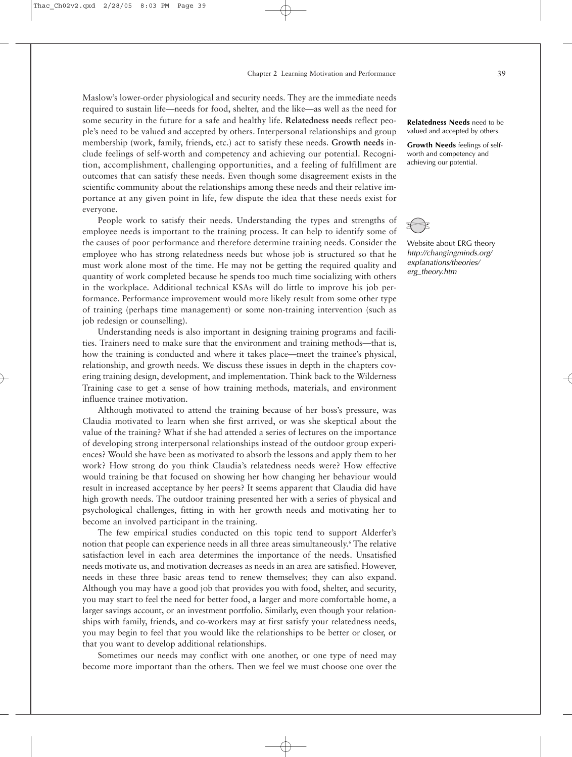#### Chapter 2 Learning Motivation and Performance 39

Maslow's lower-order physiological and security needs. They are the immediate needs required to sustain life—needs for food, shelter, and the like—as well as the need for some security in the future for a safe and healthy life. **Relatedness needs** reflect people's need to be valued and accepted by others. Interpersonal relationships and group membership (work, family, friends, etc.) act to satisfy these needs. **Growth needs** include feelings of self-worth and competency and achieving our potential. Recognition, accomplishment, challenging opportunities, and a feeling of fulfillment are outcomes that can satisfy these needs. Even though some disagreement exists in the scientific community about the relationships among these needs and their relative importance at any given point in life, few dispute the idea that these needs exist for everyone.

People work to satisfy their needs. Understanding the types and strengths of employee needs is important to the training process. It can help to identify some of the causes of poor performance and therefore determine training needs. Consider the employee who has strong relatedness needs but whose job is structured so that he must work alone most of the time. He may not be getting the required quality and quantity of work completed because he spends too much time socializing with others in the workplace. Additional technical KSAs will do little to improve his job performance. Performance improvement would more likely result from some other type of training (perhaps time management) or some non-training intervention (such as job redesign or counselling).

Understanding needs is also important in designing training programs and facilities. Trainers need to make sure that the environment and training methods—that is, how the training is conducted and where it takes place—meet the trainee's physical, relationship, and growth needs. We discuss these issues in depth in the chapters covering training design, development, and implementation. Think back to the Wilderness Training case to get a sense of how training methods, materials, and environment influence trainee motivation.

Although motivated to attend the training because of her boss's pressure, was Claudia motivated to learn when she first arrived, or was she skeptical about the value of the training? What if she had attended a series of lectures on the importance of developing strong interpersonal relationships instead of the outdoor group experiences? Would she have been as motivated to absorb the lessons and apply them to her work? How strong do you think Claudia's relatedness needs were? How effective would training be that focused on showing her how changing her behaviour would result in increased acceptance by her peers? It seems apparent that Claudia did have high growth needs. The outdoor training presented her with a series of physical and psychological challenges, fitting in with her growth needs and motivating her to become an involved participant in the training.

The few empirical studies conducted on this topic tend to support Alderfer's notion that people can experience needs in all three areas simultaneously.<sup>6</sup> The relative satisfaction level in each area determines the importance of the needs. Unsatisfied needs motivate us, and motivation decreases as needs in an area are satisfied. However, needs in these three basic areas tend to renew themselves; they can also expand. Although you may have a good job that provides you with food, shelter, and security, you may start to feel the need for better food, a larger and more comfortable home, a larger savings account, or an investment portfolio. Similarly, even though your relationships with family, friends, and co-workers may at first satisfy your relatedness needs, you may begin to feel that you would like the relationships to be better or closer, or that you want to develop additional relationships.

Sometimes our needs may conflict with one another, or one type of need may become more important than the others. Then we feel we must choose one over the

**Relatedness Needs** need to be valued and accepted by others.

**Growth Needs** feelings of selfworth and competency and achieving our potential.



Website about ERG theory *http://changingminds.org/ explanations/theories/ erg\_theory.htm*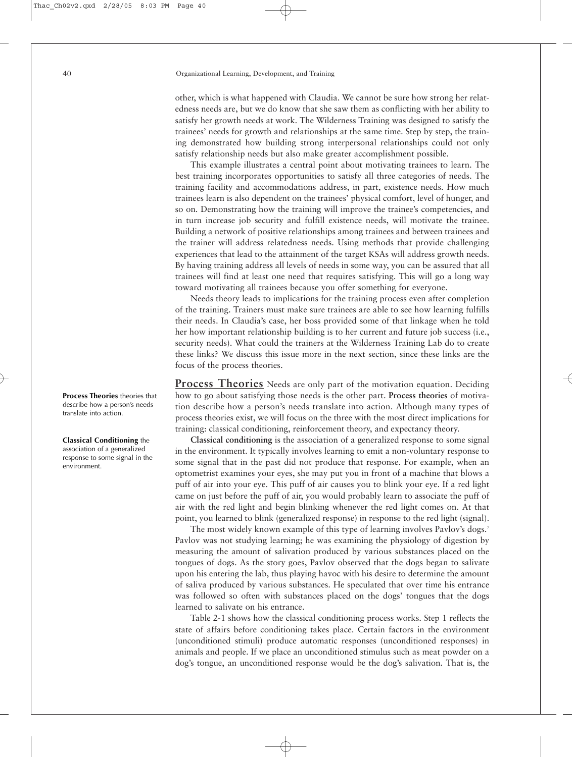other, which is what happened with Claudia. We cannot be sure how strong her relatedness needs are, but we do know that she saw them as conflicting with her ability to satisfy her growth needs at work. The Wilderness Training was designed to satisfy the trainees' needs for growth and relationships at the same time. Step by step, the training demonstrated how building strong interpersonal relationships could not only satisfy relationship needs but also make greater accomplishment possible.

This example illustrates a central point about motivating trainees to learn. The best training incorporates opportunities to satisfy all three categories of needs. The training facility and accommodations address, in part, existence needs. How much trainees learn is also dependent on the trainees' physical comfort, level of hunger, and so on. Demonstrating how the training will improve the trainee's competencies, and in turn increase job security and fulfill existence needs, will motivate the trainee. Building a network of positive relationships among trainees and between trainees and the trainer will address relatedness needs. Using methods that provide challenging experiences that lead to the attainment of the target KSAs will address growth needs. By having training address all levels of needs in some way, you can be assured that all trainees will find at least one need that requires satisfying. This will go a long way toward motivating all trainees because you offer something for everyone.

Needs theory leads to implications for the training process even after completion of the training. Trainers must make sure trainees are able to see how learning fulfills their needs. In Claudia's case, her boss provided some of that linkage when he told her how important relationship building is to her current and future job success (i.e., security needs). What could the trainers at the Wilderness Training Lab do to create these links? We discuss this issue more in the next section, since these links are the focus of the process theories.

**Process Theories** Needs are only part of the motivation equation. Deciding how to go about satisfying those needs is the other part. **Process theories** of motivation describe how a person's needs translate into action. Although many types of process theories exist, we will focus on the three with the most direct implications for training: classical conditioning, reinforcement theory, and expectancy theory.

**Classical conditioning** is the association of a generalized response to some signal in the environment. It typically involves learning to emit a non-voluntary response to some signal that in the past did not produce that response. For example, when an optometrist examines your eyes, she may put you in front of a machine that blows a puff of air into your eye. This puff of air causes you to blink your eye. If a red light came on just before the puff of air, you would probably learn to associate the puff of air with the red light and begin blinking whenever the red light comes on. At that point, you learned to blink (generalized response) in response to the red light (signal).

The most widely known example of this type of learning involves Pavlov's dogs.<sup>7</sup> Pavlov was not studying learning; he was examining the physiology of digestion by measuring the amount of salivation produced by various substances placed on the tongues of dogs. As the story goes, Pavlov observed that the dogs began to salivate upon his entering the lab, thus playing havoc with his desire to determine the amount of saliva produced by various substances. He speculated that over time his entrance was followed so often with substances placed on the dogs' tongues that the dogs learned to salivate on his entrance.

Table 2-1 shows how the classical conditioning process works. Step 1 reflects the state of affairs before conditioning takes place. Certain factors in the environment (unconditioned stimuli) produce automatic responses (unconditioned responses) in animals and people. If we place an unconditioned stimulus such as meat powder on a dog's tongue, an unconditioned response would be the dog's salivation. That is, the

**Process Theories** theories that describe how a person's needs translate into action.

## **Classical Conditioning** the

association of a generalized response to some signal in the environment.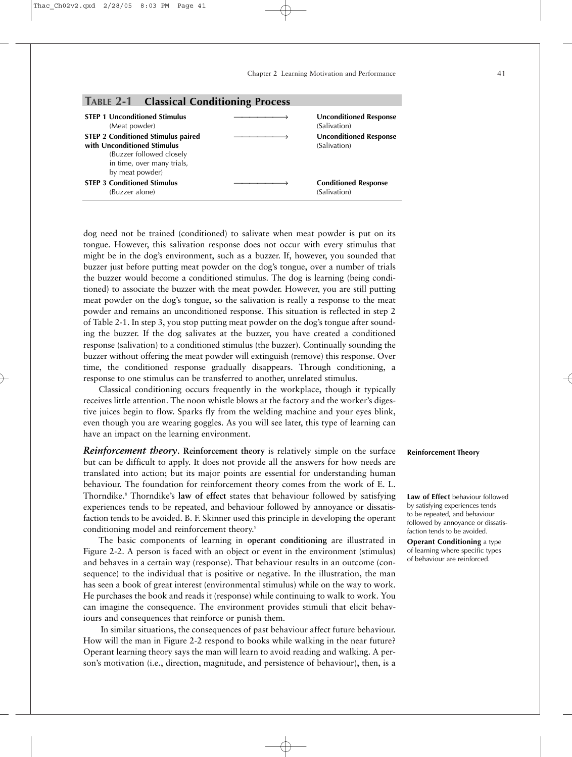| <b>TABLE 2-1 Classical Conditioning Process</b>                                                                                                       |  |                                               |
|-------------------------------------------------------------------------------------------------------------------------------------------------------|--|-----------------------------------------------|
| <b>STEP 1 Unconditioned Stimulus</b><br>(Meat powder)                                                                                                 |  | <b>Unconditioned Response</b><br>(Salivation) |
| <b>STEP 2 Conditioned Stimulus paired</b><br>with Unconditioned Stimulus<br>(Buzzer followed closely<br>in time, over many trials,<br>by meat powder) |  | <b>Unconditioned Response</b><br>(Salivation) |
| <b>STEP 3 Conditioned Stimulus</b><br>(Buzzer alone)                                                                                                  |  | <b>Conditioned Response</b><br>(Salivation)   |

dog need not be trained (conditioned) to salivate when meat powder is put on its tongue. However, this salivation response does not occur with every stimulus that might be in the dog's environment, such as a buzzer. If, however, you sounded that buzzer just before putting meat powder on the dog's tongue, over a number of trials the buzzer would become a conditioned stimulus. The dog is learning (being conditioned) to associate the buzzer with the meat powder. However, you are still putting meat powder on the dog's tongue, so the salivation is really a response to the meat powder and remains an unconditioned response. This situation is reflected in step 2 of Table 2-1. In step 3, you stop putting meat powder on the dog's tongue after sounding the buzzer. If the dog salivates at the buzzer, you have created a conditioned response (salivation) to a conditioned stimulus (the buzzer). Continually sounding the buzzer without offering the meat powder will extinguish (remove) this response. Over time, the conditioned response gradually disappears. Through conditioning, a response to one stimulus can be transferred to another, unrelated stimulus.

Classical conditioning occurs frequently in the workplace, though it typically receives little attention. The noon whistle blows at the factory and the worker's digestive juices begin to flow. Sparks fly from the welding machine and your eyes blink, even though you are wearing goggles. As you will see later, this type of learning can have an impact on the learning environment.

*Reinforcement theory*. **Reinforcement theory** is relatively simple on the surface but can be difficult to apply. It does not provide all the answers for how needs are translated into action; but its major points are essential for understanding human behaviour. The foundation for reinforcement theory comes from the work of E. L. Thorndike.8 Thorndike's **law of effect** states that behaviour followed by satisfying experiences tends to be repeated, and behaviour followed by annoyance or dissatisfaction tends to be avoided. B. F. Skinner used this principle in developing the operant conditioning model and reinforcement theory.<sup>9</sup>

The basic components of learning in **operant conditioning** are illustrated in Figure 2-2. A person is faced with an object or event in the environment (stimulus) and behaves in a certain way (response). That behaviour results in an outcome (consequence) to the individual that is positive or negative. In the illustration, the man has seen a book of great interest (environmental stimulus) while on the way to work. He purchases the book and reads it (response) while continuing to walk to work. You can imagine the consequence. The environment provides stimuli that elicit behaviours and consequences that reinforce or punish them.

In similar situations, the consequences of past behaviour affect future behaviour. How will the man in Figure 2-2 respond to books while walking in the near future? Operant learning theory says the man will learn to avoid reading and walking. A person's motivation (i.e., direction, magnitude, and persistence of behaviour), then, is a **Reinforcement Theory**

**Law of Effect** behaviour followed by satisfying experiences tends to be repeated, and behaviour followed by annoyance or dissatisfaction tends to be avoided.

**Operant Conditioning** a type of learning where specific types of behaviour are reinforced.

Chapter 2 Learning Motivation and Performance 41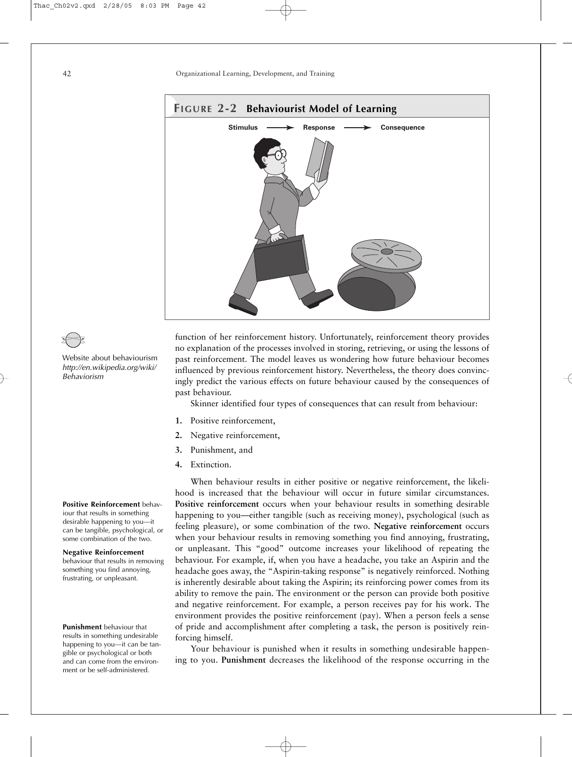

function of her reinforcement history. Unfortunately, reinforcement theory provides no explanation of the processes involved in storing, retrieving, or using the lessons of past reinforcement. The model leaves us wondering how future behaviour becomes influenced by previous reinforcement history. Nevertheless, the theory does convincingly predict the various effects on future behaviour caused by the consequences of past behaviour.

Skinner identified four types of consequences that can result from behaviour:

- **1.** Positive reinforcement,
- **2.** Negative reinforcement,
- **3.** Punishment, and
- **4.** Extinction.

When behaviour results in either positive or negative reinforcement, the likelihood is increased that the behaviour will occur in future similar circumstances. **Positive reinforcement** occurs when your behaviour results in something desirable happening to you—either tangible (such as receiving money), psychological (such as feeling pleasure), or some combination of the two. **Negative reinforcement** occurs when your behaviour results in removing something you find annoying, frustrating, or unpleasant. This "good" outcome increases your likelihood of repeating the behaviour. For example, if, when you have a headache, you take an Aspirin and the headache goes away, the "Aspirin-taking response" is negatively reinforced. Nothing is inherently desirable about taking the Aspirin; its reinforcing power comes from its ability to remove the pain. The environment or the person can provide both positive and negative reinforcement. For example, a person receives pay for his work. The environment provides the positive reinforcement (pay). When a person feels a sense of pride and accomplishment after completing a task, the person is positively reinforcing himself.

Your behaviour is punished when it results in something undesirable happening to you. **Punishment** decreases the likelihood of the response occurring in the

Website about behaviourism *http://en.wikipedia.org/wiki/ Behaviorism*

**Positive Reinforcement** behaviour that results in something desirable happening to you—it can be tangible, psychological, or some combination of the two.

**Negative Reinforcement** behaviour that results in removing something you find annoying, frustrating, or unpleasant.

**Punishment** behaviour that results in something undesirable happening to you—it can be tangible or psychological or both and can come from the environment or be self-administered.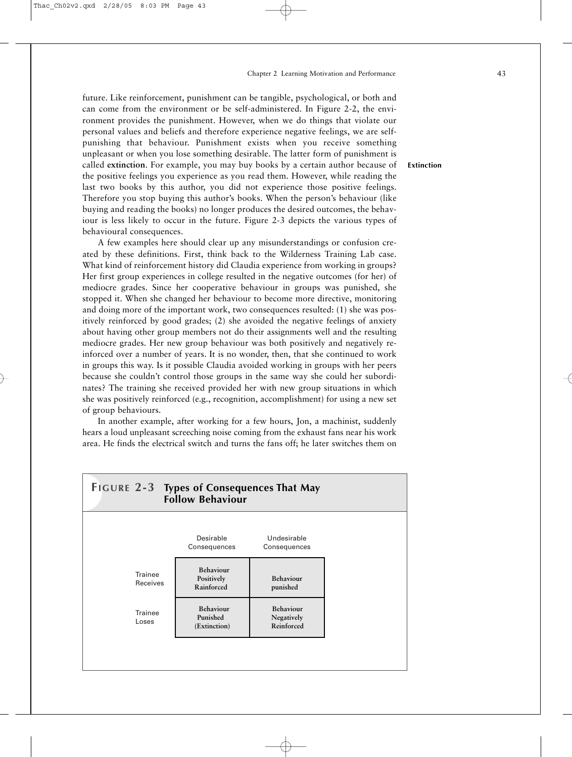#### Chapter 2 Learning Motivation and Performance 43

future. Like reinforcement, punishment can be tangible, psychological, or both and can come from the environment or be self-administered. In Figure 2-2, the environment provides the punishment. However, when we do things that violate our personal values and beliefs and therefore experience negative feelings, we are selfpunishing that behaviour. Punishment exists when you receive something unpleasant or when you lose something desirable. The latter form of punishment is called **extinction**. For example, you may buy books by a certain author because of the positive feelings you experience as you read them. However, while reading the last two books by this author, you did not experience those positive feelings. Therefore you stop buying this author's books. When the person's behaviour (like buying and reading the books) no longer produces the desired outcomes, the behaviour is less likely to occur in the future. Figure 2-3 depicts the various types of behavioural consequences.

A few examples here should clear up any misunderstandings or confusion created by these definitions. First, think back to the Wilderness Training Lab case. What kind of reinforcement history did Claudia experience from working in groups? Her first group experiences in college resulted in the negative outcomes (for her) of mediocre grades. Since her cooperative behaviour in groups was punished, she stopped it. When she changed her behaviour to become more directive, monitoring and doing more of the important work, two consequences resulted: (1) she was positively reinforced by good grades; (2) she avoided the negative feelings of anxiety about having other group members not do their assignments well and the resulting mediocre grades. Her new group behaviour was both positively and negatively reinforced over a number of years. It is no wonder, then, that she continued to work in groups this way. Is it possible Claudia avoided working in groups with her peers because she couldn't control those groups in the same way she could her subordinates? The training she received provided her with new group situations in which she was positively reinforced (e.g., recognition, accomplishment) for using a new set of group behaviours. **Punished New Conduct Conduct Conduct** Chapter 2 Learnin funct. Like reinforcement, punishment can be tangible, per<br>numerity wides the punishment. However, when we can come from the tree trive<br>numerity of the punishment. H

In another example, after working for a few hours, Jon, a machinist, suddenly hears a loud unpleasant screeching noise coming from the exhaust fans near his work area. He finds the electrical switch and turns the fans off; he later switches them on



**Extinction**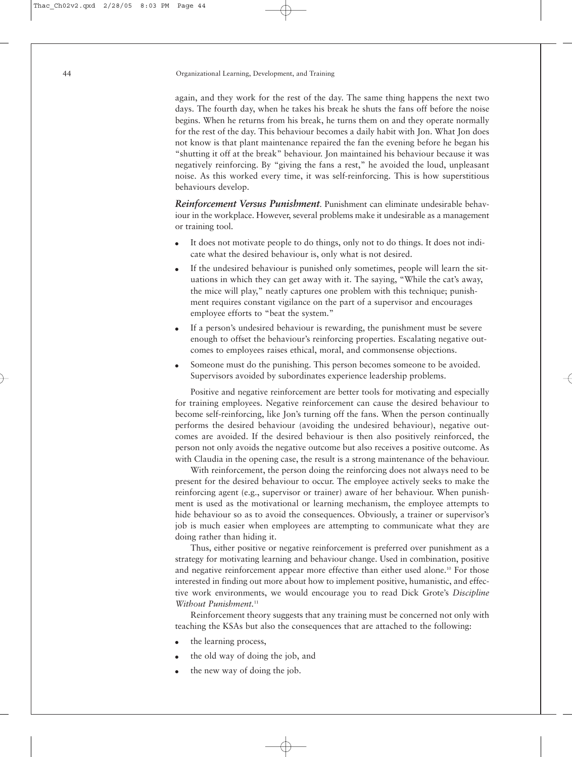again, and they work for the rest of the day. The same thing happens the next two days. The fourth day, when he takes his break he shuts the fans off before the noise begins. When he returns from his break, he turns them on and they operate normally for the rest of the day. This behaviour becomes a daily habit with Jon. What Jon does not know is that plant maintenance repaired the fan the evening before he began his "shutting it off at the break" behaviour. Jon maintained his behaviour because it was negatively reinforcing. By "giving the fans a rest," he avoided the loud, unpleasant noise. As this worked every time, it was self-reinforcing. This is how superstitious behaviours develop.

*Reinforcement Versus Punishment*. Punishment can eliminate undesirable behaviour in the workplace. However, several problems make it undesirable as a management or training tool.

- It does not motivate people to do things, only not to do things. It does not indicate what the desired behaviour is, only what is not desired.
- If the undesired behaviour is punished only sometimes, people will learn the situations in which they can get away with it. The saying, "While the cat's away, the mice will play," neatly captures one problem with this technique; punishment requires constant vigilance on the part of a supervisor and encourages employee efforts to "beat the system."
- If a person's undesired behaviour is rewarding, the punishment must be severe enough to offset the behaviour's reinforcing properties. Escalating negative outcomes to employees raises ethical, moral, and commonsense objections.
- Someone must do the punishing. This person becomes someone to be avoided. Supervisors avoided by subordinates experience leadership problems.

Positive and negative reinforcement are better tools for motivating and especially for training employees. Negative reinforcement can cause the desired behaviour to become self-reinforcing, like Jon's turning off the fans. When the person continually performs the desired behaviour (avoiding the undesired behaviour), negative outcomes are avoided. If the desired behaviour is then also positively reinforced, the person not only avoids the negative outcome but also receives a positive outcome. As with Claudia in the opening case, the result is a strong maintenance of the behaviour.

With reinforcement, the person doing the reinforcing does not always need to be present for the desired behaviour to occur. The employee actively seeks to make the reinforcing agent (e.g., supervisor or trainer) aware of her behaviour. When punishment is used as the motivational or learning mechanism, the employee attempts to hide behaviour so as to avoid the consequences. Obviously, a trainer or supervisor's job is much easier when employees are attempting to communicate what they are doing rather than hiding it.

Thus, either positive or negative reinforcement is preferred over punishment as a strategy for motivating learning and behaviour change. Used in combination, positive and negative reinforcement appear more effective than either used alone.10 For those interested in finding out more about how to implement positive, humanistic, and effective work environments, we would encourage you to read Dick Grote's *Discipline Without Punishment.*<sup>11</sup>

Reinforcement theory suggests that any training must be concerned not only with teaching the KSAs but also the consequences that are attached to the following:

- the learning process,
- the old way of doing the job, and
- the new way of doing the job.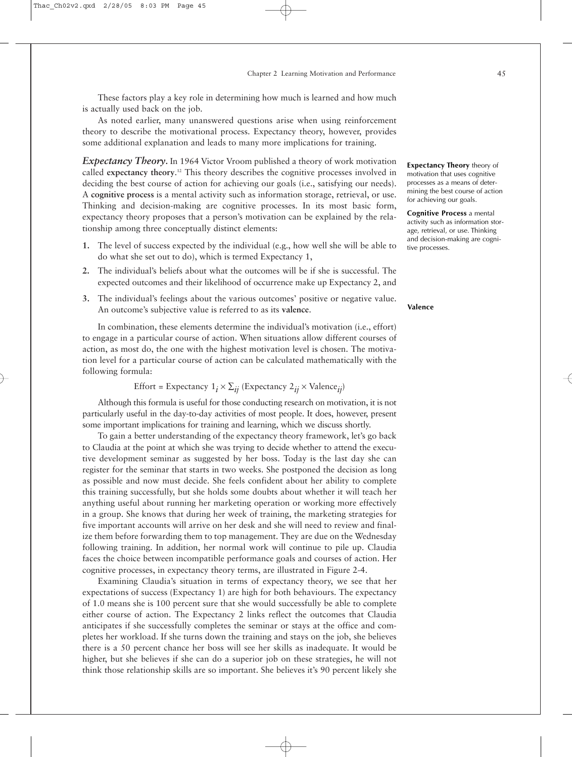#### Chapter 2 Learning Motivation and Performance 45

Thac\_Ch02v2.qxd 2/28/05 8:03 PM Page 45

As noted earlier, many unanswered questions arise when using reinforcement theory to describe the motivational process. Expectancy theory, however, provides some additional explanation and leads to many more implications for training.

*Expectancy Theory***.** In 1964 Victor Vroom published a theory of work motivation called **expectancy theory**. <sup>12</sup> This theory describes the cognitive processes involved in deciding the best course of action for achieving our goals (i.e., satisfying our needs). A **cognitive process** is a mental activity such as information storage, retrieval, or use. Thinking and decision-making are cognitive processes. In its most basic form, expectancy theory proposes that a person's motivation can be explained by the relationship among three conceptually distinct elements:

- **1.** The level of success expected by the individual (e.g., how well she will be able to do what she set out to do), which is termed Expectancy 1,
- **2.** The individual's beliefs about what the outcomes will be if she is successful. The expected outcomes and their likelihood of occurrence make up Expectancy 2, and
- **3.** The individual's feelings about the various outcomes' positive or negative value. An outcome's subjective value is referred to as its **valence**.

In combination, these elements determine the individual's motivation (i.e., effort) to engage in a particular course of action. When situations allow different courses of action, as most do, the one with the highest motivation level is chosen. The motivation level for a particular course of action can be calculated mathematically with the following formula:

Effort = Expectancy  $1_i \times \sum_{ii}$  (Expectancy  $2_{ii} \times$  Valence<sub>ii</sub>)

Although this formula is useful for those conducting research on motivation, it is not particularly useful in the day-to-day activities of most people. It does, however, present some important implications for training and learning, which we discuss shortly.

To gain a better understanding of the expectancy theory framework, let's go back to Claudia at the point at which she was trying to decide whether to attend the executive development seminar as suggested by her boss. Today is the last day she can register for the seminar that starts in two weeks. She postponed the decision as long as possible and now must decide. She feels confident about her ability to complete this training successfully, but she holds some doubts about whether it will teach her anything useful about running her marketing operation or working more effectively in a group. She knows that during her week of training, the marketing strategies for five important accounts will arrive on her desk and she will need to review and finalize them before forwarding them to top management. They are due on the Wednesday following training. In addition, her normal work will continue to pile up. Claudia faces the choice between incompatible performance goals and courses of action. Her cognitive processes, in expectancy theory terms, are illustrated in Figure 2-4.

Examining Claudia's situation in terms of expectancy theory, we see that her expectations of success (Expectancy 1) are high for both behaviours. The expectancy of 1.0 means she is 100 percent sure that she would successfully be able to complete either course of action. The Expectancy 2 links reflect the outcomes that Claudia anticipates if she successfully completes the seminar or stays at the office and completes her workload. If she turns down the training and stays on the job, she believes there is a 50 percent chance her boss will see her skills as inadequate. It would be higher, but she believes if she can do a superior job on these strategies, he will not think those relationship skills are so important. She believes it's 90 percent likely she

**Expectancy Theory** theory of motivation that uses cognitive processes as a means of determining the best course of action for achieving our goals.

**Cognitive Process** a mental activity such as information storage, retrieval, or use. Thinking and decision-making are cognitive processes.

#### **Valence**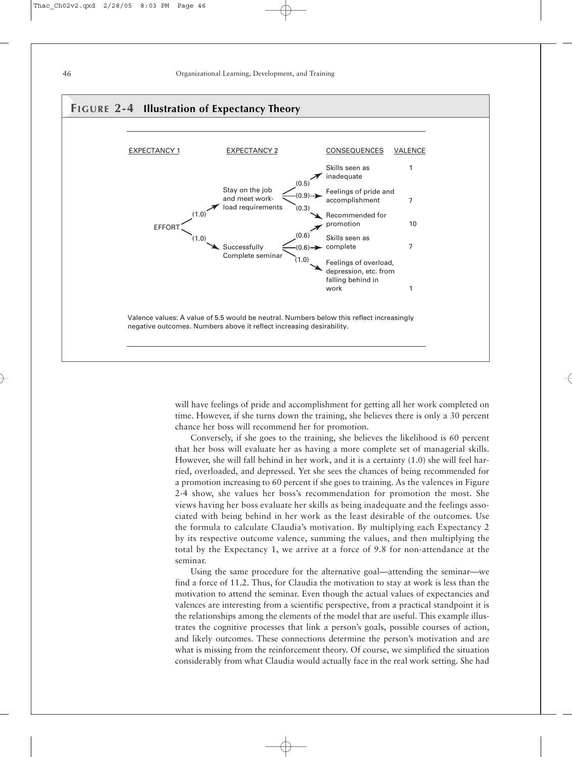

will have feelings of pride and accomplishment for getting all her work completed on time. However, if she turns down the training, she believes there is only a 30 percent chance her boss will recommend her for promotion.

Conversely, if she goes to the training, she believes the likelihood is 60 percent that her boss will evaluate her as having a more complete set of managerial skills. However, she will fall behind in her work, and it is a certainty (1.0) she will feel harried, overloaded, and depressed. Yet she sees the chances of being recommended for a promotion increasing to 60 percent if she goes to training. As the valences in Figure 2-4 show, she values her boss's recommendation for promotion the most. She views having her boss evaluate her skills as being inadequate and the feelings associated with being behind in her work as the least desirable of the outcomes. Use the formula to calculate Claudia's motivation. By multiplying each Expectancy 2 by its respective outcome valence, summing the values, and then multiplying the total by the Expectancy 1, we arrive at a force of 9.8 for non-attendance at the seminar.

Using the same procedure for the alternative goal—attending the seminar—we find a force of 11.2. Thus, for Claudia the motivation to stay at work is less than the motivation to attend the seminar. Even though the actual values of expectancies and valences are interesting from a scientific perspective, from a practical standpoint it is the relationships among the elements of the model that are useful. This example illustrates the cognitive processes that link a person's goals, possible courses of action, and likely outcomes. These connections determine the person's motivation and are what is missing from the reinforcement theory. Of course, we simplified the situation considerably from what Claudia would actually face in the real work setting. She had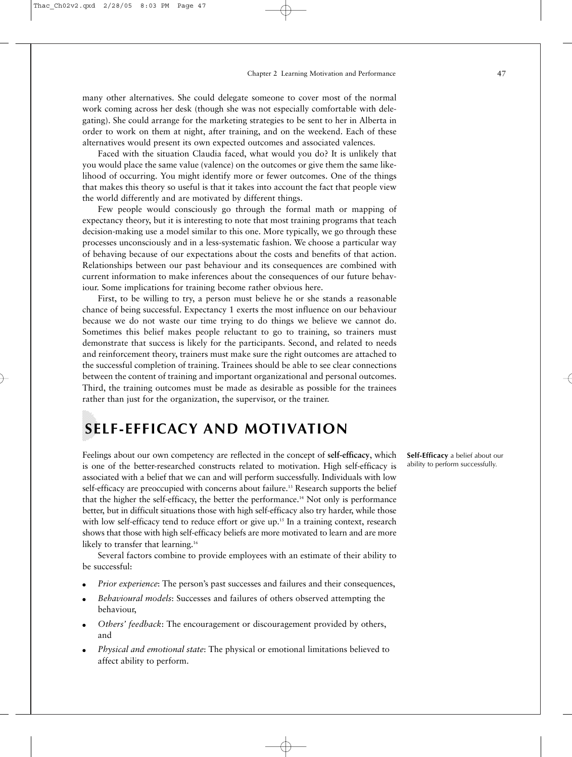## Chapter 2 Learning Motivation and Performance 47

many other alternatives. She could delegate someone to cover most of the normal work coming across her desk (though she was not especially comfortable with delegating). She could arrange for the marketing strategies to be sent to her in Alberta in order to work on them at night, after training, and on the weekend. Each of these alternatives would present its own expected outcomes and associated valences.

Faced with the situation Claudia faced, what would you do? It is unlikely that you would place the same value (valence) on the outcomes or give them the same likelihood of occurring. You might identify more or fewer outcomes. One of the things that makes this theory so useful is that it takes into account the fact that people view the world differently and are motivated by different things.

Few people would consciously go through the formal math or mapping of expectancy theory, but it is interesting to note that most training programs that teach decision-making use a model similar to this one. More typically, we go through these processes unconsciously and in a less-systematic fashion. We choose a particular way of behaving because of our expectations about the costs and benefits of that action. Relationships between our past behaviour and its consequences are combined with current information to make inferences about the consequences of our future behaviour. Some implications for training become rather obvious here.

First, to be willing to try, a person must believe he or she stands a reasonable chance of being successful. Expectancy 1 exerts the most influence on our behaviour because we do not waste our time trying to do things we believe we cannot do. Sometimes this belief makes people reluctant to go to training, so trainers must demonstrate that success is likely for the participants. Second, and related to needs and reinforcement theory, trainers must make sure the right outcomes are attached to the successful completion of training. Trainees should be able to see clear connections between the content of training and important organizational and personal outcomes. Third, the training outcomes must be made as desirable as possible for the trainees rather than just for the organization, the supervisor, or the trainer.

# **SELF-EFFICACY AND MOTIVATION**

Feelings about our own competency are reflected in the concept of **self-efficacy**, which is one of the better-researched constructs related to motivation. High self-efficacy is associated with a belief that we can and will perform successfully. Individuals with low self-efficacy are preoccupied with concerns about failure.<sup>13</sup> Research supports the belief that the higher the self-efficacy, the better the performance.14 Not only is performance better, but in difficult situations those with high self-efficacy also try harder, while those with low self-efficacy tend to reduce effort or give up.<sup>15</sup> In a training context, research shows that those with high self-efficacy beliefs are more motivated to learn and are more likely to transfer that learning.<sup>16</sup>

Several factors combine to provide employees with an estimate of their ability to be successful:

- *Prior experience*: The person's past successes and failures and their consequences,
- Behavioural models: Successes and failures of others observed attempting the behaviour,
- Others' feedback: The encouragement or discouragement provided by others, and
- *Physical and emotional state*: The physical or emotional limitations believed to affect ability to perform.

**Self-Efficacy** a belief about our ability to perform successfully.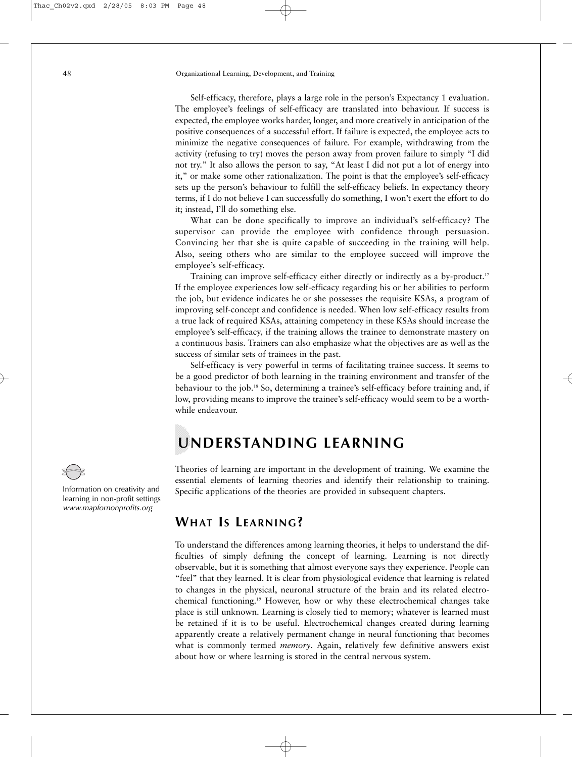Self-efficacy, therefore, plays a large role in the person's Expectancy 1 evaluation. The employee's feelings of self-efficacy are translated into behaviour. If success is expected, the employee works harder, longer, and more creatively in anticipation of the positive consequences of a successful effort. If failure is expected, the employee acts to minimize the negative consequences of failure. For example, withdrawing from the activity (refusing to try) moves the person away from proven failure to simply "I did not try." It also allows the person to say, "At least I did not put a lot of energy into it," or make some other rationalization. The point is that the employee's self-efficacy sets up the person's behaviour to fulfill the self-efficacy beliefs. In expectancy theory terms, if I do not believe I can successfully do something, I won't exert the effort to do it; instead, I'll do something else.

What can be done specifically to improve an individual's self-efficacy? The supervisor can provide the employee with confidence through persuasion. Convincing her that she is quite capable of succeeding in the training will help. Also, seeing others who are similar to the employee succeed will improve the employee's self-efficacy.

Training can improve self-efficacy either directly or indirectly as a by-product.17 If the employee experiences low self-efficacy regarding his or her abilities to perform the job, but evidence indicates he or she possesses the requisite KSAs, a program of improving self-concept and confidence is needed. When low self-efficacy results from a true lack of required KSAs, attaining competency in these KSAs should increase the employee's self-efficacy, if the training allows the trainee to demonstrate mastery on a continuous basis. Trainers can also emphasize what the objectives are as well as the success of similar sets of trainees in the past.

Self-efficacy is very powerful in terms of facilitating trainee success. It seems to be a good predictor of both learning in the training environment and transfer of the behaviour to the job.<sup>18</sup> So, determining a trainee's self-efficacy before training and, if low, providing means to improve the trainee's self-efficacy would seem to be a worthwhile endeavour.

# **UNDERSTANDING LEARNING**

Theories of learning are important in the development of training. We examine the essential elements of learning theories and identify their relationship to training. Specific applications of the theories are provided in subsequent chapters.

## **WHAT IS LEARNING?**

To understand the differences among learning theories, it helps to understand the difficulties of simply defining the concept of learning. Learning is not directly observable, but it is something that almost everyone says they experience. People can "feel" that they learned. It is clear from physiological evidence that learning is related to changes in the physical, neuronal structure of the brain and its related electrochemical functioning.19 However, how or why these electrochemical changes take place is still unknown. Learning is closely tied to memory; whatever is learned must be retained if it is to be useful. Electrochemical changes created during learning apparently create a relatively permanent change in neural functioning that becomes what is commonly termed *memory*. Again, relatively few definitive answers exist about how or where learning is stored in the central nervous system.



Information on creativity and learning in non-profit settings *www.mapfornonprofits.org*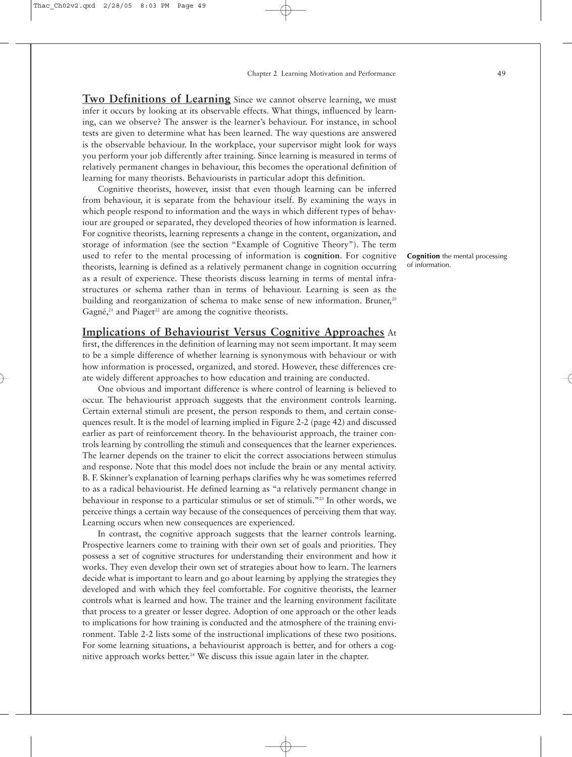**Two Definitions of Learning** Since we cannot observe learning, we must infer it occurs by looking at its observable effects. What things, influenced by learning, can we observe? The answer is the learner's behaviour. For instance, in school tests are given to determine what has been learned. The way questions are answered is the observable behaviour. In the workplace, your supervisor might look for ways you perform your job differently after training. Since learning is measured in terms of relatively permanent changes in behaviour, this becomes the operational definition of learning for many theorists. Behaviourists in particular adopt this definition.

Cognitive theorists, however, insist that even though learning can be inferred from behaviour, it is separate from the behaviour itself. By examining the ways in which people respond to information and the ways in which different types of behaviour are grouped or separated, they developed theories of how information is learned. For cognitive theorists, learning represents a change in the content, organization, and storage of information (see the section "Example of Cognitive Theory"). The term used to refer to the mental processing of information is **cognition**. For cognitive theorists, learning is defined as a relatively permanent change in cognition occurring as a result of experience. These theorists discuss learning in terms of mental infrastructures or schema rather than in terms of behaviour. Learning is seen as the building and reorganization of schema to make sense of new information. Bruner,<sup>20</sup> Gagné, $^{21}$  and Piaget<sup>22</sup> are among the cognitive theorists.

## **Implications of Behaviourist Versus Cognitive Approaches** At

first, the differences in the definition of learning may not seem important. It may seem to be a simple difference of whether learning is synonymous with behaviour or with how information is processed, organized, and stored. However, these differences create widely different approaches to how education and training are conducted.

One obvious and important difference is where control of learning is believed to occur. The behaviourist approach suggests that the environment controls learning. Certain external stimuli are present, the person responds to them, and certain consequences result. It is the model of learning implied in Figure 2-2 (page 42) and discussed earlier as part of reinforcement theory. In the behaviourist approach, the trainer controls learning by controlling the stimuli and consequences that the learner experiences. The learner depends on the trainer to elicit the correct associations between stimulus and response. Note that this model does not include the brain or any mental activity. B. F. Skinner's explanation of learning perhaps clarifies why he was sometimes referred to as a radical behaviourist. He defined learning as "a relatively permanent change in behaviour in response to a particular stimulus or set of stimuli."<sup>23</sup> In other words, we perceive things a certain way because of the consequences of perceiving them that way. Learning occurs when new consequences are experienced.

In contrast, the cognitive approach suggests that the learner controls learning. Prospective learners come to training with their own set of goals and priorities. They possess a set of cognitive structures for understanding their environment and how it works. They even develop their own set of strategies about how to learn. The learners decide what is important to learn and go about learning by applying the strategies they developed and with which they feel comfortable. For cognitive theorists, the learner controls what is learned and how. The trainer and the learning environment facilitate that process to a greater or lesser degree. Adoption of one approach or the other leads to implications for how training is conducted and the atmosphere of the training environment. Table 2-2 lists some of the instructional implications of these two positions. For some learning situations, a behaviourist approach is better, and for others a cognitive approach works better.<sup>24</sup> We discuss this issue again later in the chapter.

**Cognition** the mental processing of information.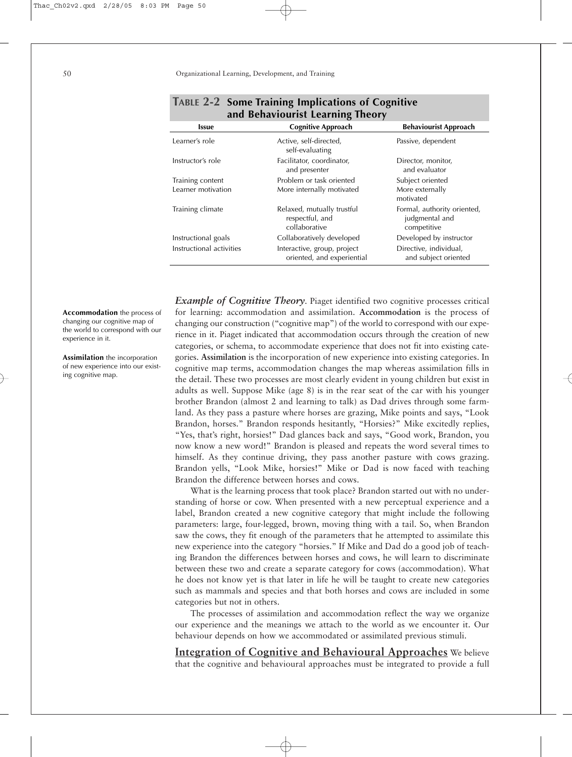| and Behaviourist Learning Theory |                                                                |                                                              |
|----------------------------------|----------------------------------------------------------------|--------------------------------------------------------------|
| Issue                            | <b>Cognitive Approach</b>                                      | <b>Behaviourist Approach</b>                                 |
| Learner's role                   | Active, self-directed,<br>self-evaluating                      | Passive, dependent                                           |
| Instructor's role                | Facilitator, coordinator,<br>and presenter                     | Director, monitor,<br>and evaluator                          |
| Training content                 | Problem or task oriented                                       | Subject oriented                                             |
| Learner motivation               | More internally motivated                                      | More externally<br>motivated                                 |
| Training climate                 | Relaxed, mutually trustful<br>respectful, and<br>collaborative | Formal, authority oriented,<br>judgmental and<br>competitive |
| Instructional goals              | Collaboratively developed                                      | Developed by instructor                                      |
| Instructional activities         | Interactive, group, project<br>oriented, and experiential      | Directive, individual,<br>and subject oriented               |

| TABLE 2-2 Some Training Implications of Cognitive |
|---------------------------------------------------|
| and Behaviourist Learning Theory                  |

**Accommodation** the process of changing our cognitive map of the world to correspond with our experience in it.

**Assimilation** the incorporation of new experience into our existing cognitive map.

**Example of Cognitive Theory**. Piaget identified two cognitive processes critical for learning: accommodation and assimilation. **Accommodation** is the process of changing our construction ("cognitive map") of the world to correspond with our experience in it. Piaget indicated that accommodation occurs through the creation of new categories, or schema, to accommodate experience that does not fit into existing categories. **Assimilation** is the incorporation of new experience into existing categories. In cognitive map terms, accommodation changes the map whereas assimilation fills in the detail. These two processes are most clearly evident in young children but exist in adults as well. Suppose Mike (age 8) is in the rear seat of the car with his younger brother Brandon (almost 2 and learning to talk) as Dad drives through some farmland. As they pass a pasture where horses are grazing, Mike points and says, "Look Brandon, horses." Brandon responds hesitantly, "Horsies?" Mike excitedly replies, "Yes, that's right, horsies!" Dad glances back and says, "Good work, Brandon, you now know a new word!" Brandon is pleased and repeats the word several times to himself. As they continue driving, they pass another pasture with cows grazing. Brandon yells, "Look Mike, horsies!" Mike or Dad is now faced with teaching Brandon the difference between horses and cows.

What is the learning process that took place? Brandon started out with no understanding of horse or cow. When presented with a new perceptual experience and a label, Brandon created a new cognitive category that might include the following parameters: large, four-legged, brown, moving thing with a tail. So, when Brandon saw the cows, they fit enough of the parameters that he attempted to assimilate this new experience into the category "horsies." If Mike and Dad do a good job of teaching Brandon the differences between horses and cows, he will learn to discriminate between these two and create a separate category for cows (accommodation). What he does not know yet is that later in life he will be taught to create new categories such as mammals and species and that both horses and cows are included in some categories but not in others.

The processes of assimilation and accommodation reflect the way we organize our experience and the meanings we attach to the world as we encounter it. Our behaviour depends on how we accommodated or assimilated previous stimuli.

**Integration of Cognitive and Behavioural Approaches** We believe that the cognitive and behavioural approaches must be integrated to provide a full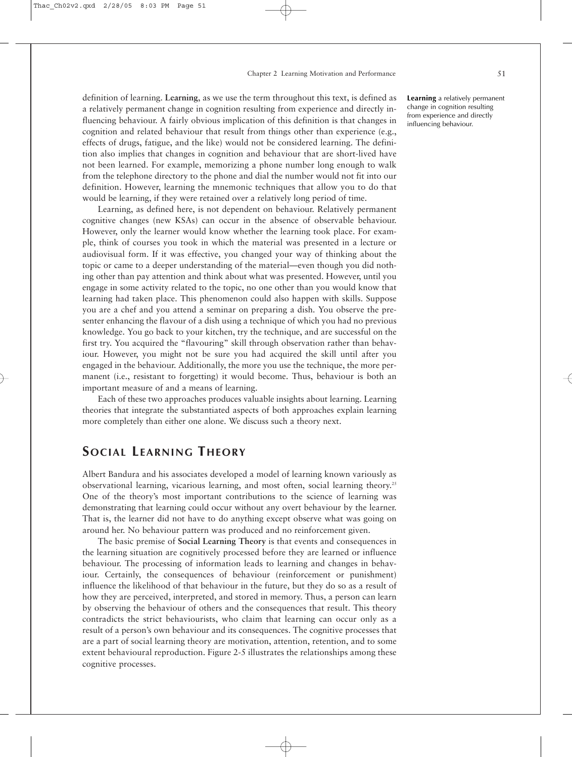#### Chapter 2 Learning Motivation and Performance 51

definition of learning. **Learning**, as we use the term throughout this text, is defined as a relatively permanent change in cognition resulting from experience and directly influencing behaviour. A fairly obvious implication of this definition is that changes in cognition and related behaviour that result from things other than experience (e.g., effects of drugs, fatigue, and the like) would not be considered learning. The definition also implies that changes in cognition and behaviour that are short-lived have not been learned. For example, memorizing a phone number long enough to walk from the telephone directory to the phone and dial the number would not fit into our definition. However, learning the mnemonic techniques that allow you to do that would be learning, if they were retained over a relatively long period of time.

Learning, as defined here, is not dependent on behaviour. Relatively permanent cognitive changes (new KSAs) can occur in the absence of observable behaviour. However, only the learner would know whether the learning took place. For example, think of courses you took in which the material was presented in a lecture or audiovisual form. If it was effective, you changed your way of thinking about the topic or came to a deeper understanding of the material—even though you did nothing other than pay attention and think about what was presented. However, until you engage in some activity related to the topic, no one other than you would know that learning had taken place. This phenomenon could also happen with skills. Suppose you are a chef and you attend a seminar on preparing a dish. You observe the presenter enhancing the flavour of a dish using a technique of which you had no previous knowledge. You go back to your kitchen, try the technique, and are successful on the first try. You acquired the "flavouring" skill through observation rather than behaviour. However, you might not be sure you had acquired the skill until after you engaged in the behaviour. Additionally, the more you use the technique, the more permanent (i.e., resistant to forgetting) it would become. Thus, behaviour is both an important measure of and a means of learning.

Each of these two approaches produces valuable insights about learning. Learning theories that integrate the substantiated aspects of both approaches explain learning more completely than either one alone. We discuss such a theory next.

## **SOCIAL LEARNING THEORY**

Albert Bandura and his associates developed a model of learning known variously as observational learning, vicarious learning, and most often, social learning theory.25 One of the theory's most important contributions to the science of learning was demonstrating that learning could occur without any overt behaviour by the learner. That is, the learner did not have to do anything except observe what was going on around her. No behaviour pattern was produced and no reinforcement given.

The basic premise of **Social Learning Theory** is that events and consequences in the learning situation are cognitively processed before they are learned or influence behaviour. The processing of information leads to learning and changes in behaviour. Certainly, the consequences of behaviour (reinforcement or punishment) influence the likelihood of that behaviour in the future, but they do so as a result of how they are perceived, interpreted, and stored in memory. Thus, a person can learn by observing the behaviour of others and the consequences that result. This theory contradicts the strict behaviourists, who claim that learning can occur only as a result of a person's own behaviour and its consequences. The cognitive processes that are a part of social learning theory are motivation, attention, retention, and to some extent behavioural reproduction. Figure 2-5 illustrates the relationships among these cognitive processes.

**Learning** a relatively permanent change in cognition resulting from experience and directly influencing behaviour.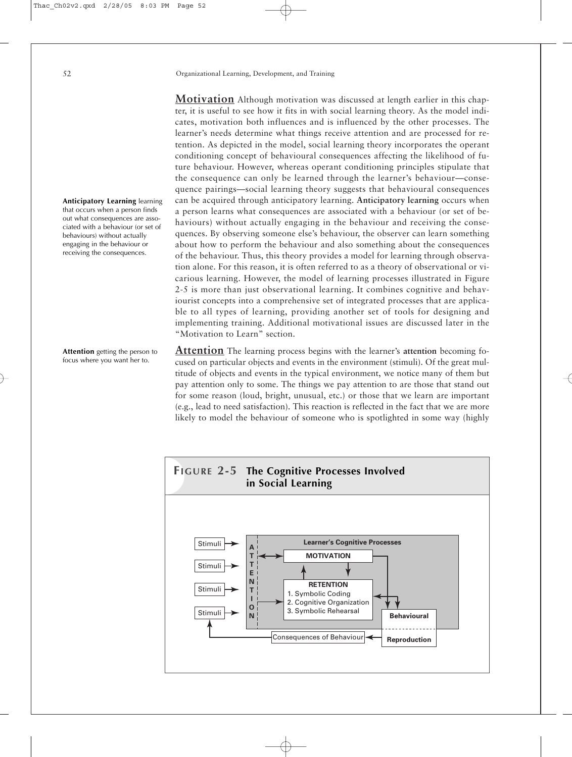**Anticipatory Learning** learning that occurs when a person finds out what consequences are associated with a behaviour (or set of behaviours) without actually engaging in the behaviour or receiving the consequences.

**Attention** getting the person to focus where you want her to.

52 Organizational Learning, Development, and Training

**Motivation** Although motivation was discussed at length earlier in this chapter, it is useful to see how it fits in with social learning theory. As the model indicates, motivation both influences and is influenced by the other processes. The learner's needs determine what things receive attention and are processed for retention. As depicted in the model, social learning theory incorporates the operant conditioning concept of behavioural consequences affecting the likelihood of future behaviour. However, whereas operant conditioning principles stipulate that the consequence can only be learned through the learner's behaviour—consequence pairings—social learning theory suggests that behavioural consequences can be acquired through anticipatory learning. **Anticipatory learning** occurs when a person learns what consequences are associated with a behaviour (or set of behaviours) without actually engaging in the behaviour and receiving the consequences. By observing someone else's behaviour, the observer can learn something about how to perform the behaviour and also something about the consequences of the behaviour. Thus, this theory provides a model for learning through observation alone. For this reason, it is often referred to as a theory of observational or vicarious learning. However, the model of learning processes illustrated in Figure 2-5 is more than just observational learning. It combines cognitive and behaviourist concepts into a comprehensive set of integrated processes that are applicable to all types of learning, providing another set of tools for designing and implementing training. Additional motivational issues are discussed later in the "Motivation to Learn" section.

**Attention** The learning process begins with the learner's **attention** becoming focused on particular objects and events in the environment (stimuli). Of the great multitude of objects and events in the typical environment, we notice many of them but pay attention only to some. The things we pay attention to are those that stand out for some reason (loud, bright, unusual, etc.) or those that we learn are important (e.g., lead to need satisfaction). This reaction is reflected in the fact that we are more likely to model the behaviour of someone who is spotlighted in some way (highly

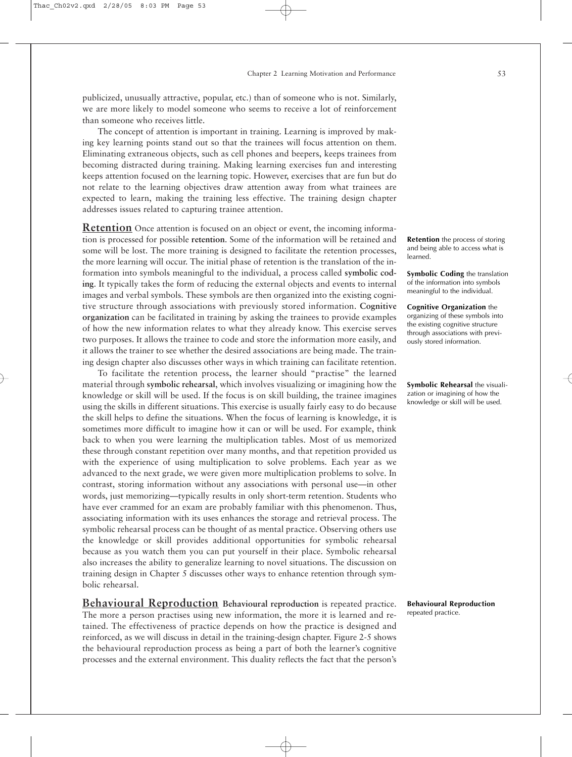publicized, unusually attractive, popular, etc.) than of someone who is not. Similarly, we are more likely to model someone who seems to receive a lot of reinforcement than someone who receives little.

The concept of attention is important in training. Learning is improved by making key learning points stand out so that the trainees will focus attention on them. Eliminating extraneous objects, such as cell phones and beepers, keeps trainees from becoming distracted during training. Making learning exercises fun and interesting keeps attention focused on the learning topic. However, exercises that are fun but do not relate to the learning objectives draw attention away from what trainees are expected to learn, making the training less effective. The training design chapter addresses issues related to capturing trainee attention.

**Retention** Once attention is focused on an object or event, the incoming information is processed for possible **retention**. Some of the information will be retained and some will be lost. The more training is designed to facilitate the retention processes, the more learning will occur. The initial phase of retention is the translation of the information into symbols meaningful to the individual, a process called **symbolic coding**. It typically takes the form of reducing the external objects and events to internal images and verbal symbols. These symbols are then organized into the existing cognitive structure through associations with previously stored information. **Cognitive organization** can be facilitated in training by asking the trainees to provide examples of how the new information relates to what they already know. This exercise serves two purposes. It allows the trainee to code and store the information more easily, and it allows the trainer to see whether the desired associations are being made. The training design chapter also discusses other ways in which training can facilitate retention.

To facilitate the retention process, the learner should "practise" the learned material through **symbolic rehearsal**, which involves visualizing or imagining how the knowledge or skill will be used. If the focus is on skill building, the trainee imagines using the skills in different situations. This exercise is usually fairly easy to do because the skill helps to define the situations. When the focus of learning is knowledge, it is sometimes more difficult to imagine how it can or will be used. For example, think back to when you were learning the multiplication tables. Most of us memorized these through constant repetition over many months, and that repetition provided us with the experience of using multiplication to solve problems. Each year as we advanced to the next grade, we were given more multiplication problems to solve. In contrast, storing information without any associations with personal use—in other words, just memorizing—typically results in only short-term retention. Students who have ever crammed for an exam are probably familiar with this phenomenon. Thus, associating information with its uses enhances the storage and retrieval process. The symbolic rehearsal process can be thought of as mental practice. Observing others use the knowledge or skill provides additional opportunities for symbolic rehearsal because as you watch them you can put yourself in their place. Symbolic rehearsal also increases the ability to generalize learning to novel situations. The discussion on training design in Chapter 5 discusses other ways to enhance retention through symbolic rehearsal.

**Behavioural Reproduction Behavioural reproduction** is repeated practice. The more a person practises using new information, the more it is learned and retained. The effectiveness of practice depends on how the practice is designed and reinforced, as we will discuss in detail in the training-design chapter. Figure 2-5 shows the behavioural reproduction process as being a part of both the learner's cognitive processes and the external environment. This duality reflects the fact that the person's

**Retention** the process of storing and being able to access what is learned.

**Symbolic Coding** the translation of the information into symbols meaningful to the individual.

**Cognitive Organization** the organizing of these symbols into the existing cognitive structure through associations with previously stored information.

**Symbolic Rehearsal** the visualization or imagining of how the knowledge or skill will be used.

**Behavioural Reproduction** repeated practice.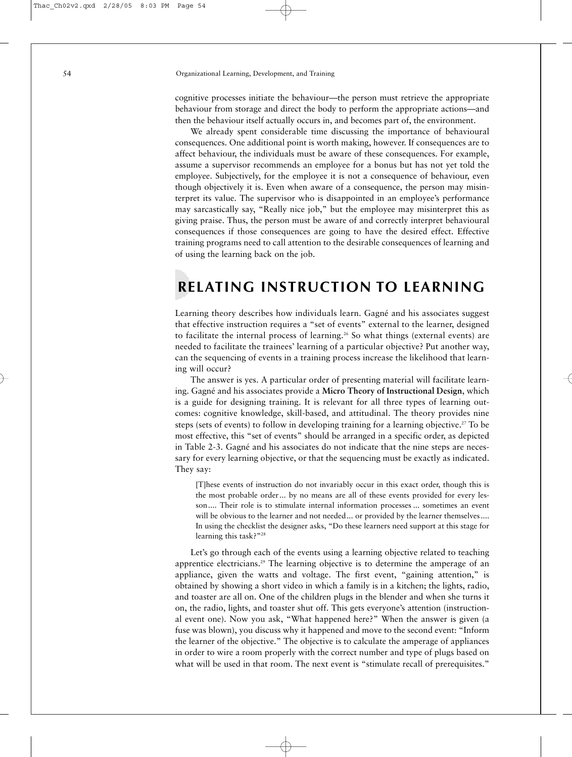cognitive processes initiate the behaviour—the person must retrieve the appropriate behaviour from storage and direct the body to perform the appropriate actions—and then the behaviour itself actually occurs in, and becomes part of, the environment.

We already spent considerable time discussing the importance of behavioural consequences. One additional point is worth making, however. If consequences are to affect behaviour, the individuals must be aware of these consequences. For example, assume a supervisor recommends an employee for a bonus but has not yet told the employee. Subjectively, for the employee it is not a consequence of behaviour, even though objectively it is. Even when aware of a consequence, the person may misinterpret its value. The supervisor who is disappointed in an employee's performance may sarcastically say, "Really nice job," but the employee may misinterpret this as giving praise. Thus, the person must be aware of and correctly interpret behavioural consequences if those consequences are going to have the desired effect. Effective training programs need to call attention to the desirable consequences of learning and of using the learning back on the job.

# **RELATING INSTRUCTION TO LEARNING**

Learning theory describes how individuals learn. Gagné and his associates suggest that effective instruction requires a "set of events" external to the learner, designed to facilitate the internal process of learning.<sup>26</sup> So what things (external events) are needed to facilitate the trainees' learning of a particular objective? Put another way, can the sequencing of events in a training process increase the likelihood that learning will occur?

The answer is yes. A particular order of presenting material will facilitate learning. Gagné and his associates provide a **Micro Theory of Instructional Design**, which is a guide for designing training. It is relevant for all three types of learning outcomes: cognitive knowledge, skill-based, and attitudinal. The theory provides nine steps (sets of events) to follow in developing training for a learning objective.<sup>27</sup> To be most effective, this "set of events" should be arranged in a specific order, as depicted in Table 2-3. Gagné and his associates do not indicate that the nine steps are necessary for every learning objective, or that the sequencing must be exactly as indicated. They say:

[T]hese events of instruction do not invariably occur in this exact order, though this is the most probable order... by no means are all of these events provided for every lesson.... Their role is to stimulate internal information processes ... sometimes an event will be obvious to the learner and not needed... or provided by the learner themselves.... In using the checklist the designer asks, "Do these learners need support at this stage for learning this task?"<sup>28</sup>

Let's go through each of the events using a learning objective related to teaching apprentice electricians.29 The learning objective is to determine the amperage of an appliance, given the watts and voltage. The first event, "gaining attention," is obtained by showing a short video in which a family is in a kitchen; the lights, radio, and toaster are all on. One of the children plugs in the blender and when she turns it on, the radio, lights, and toaster shut off. This gets everyone's attention (instructional event one). Now you ask, "What happened here?" When the answer is given (a fuse was blown), you discuss why it happened and move to the second event: "Inform the learner of the objective." The objective is to calculate the amperage of appliances in order to wire a room properly with the correct number and type of plugs based on what will be used in that room. The next event is "stimulate recall of prerequisites."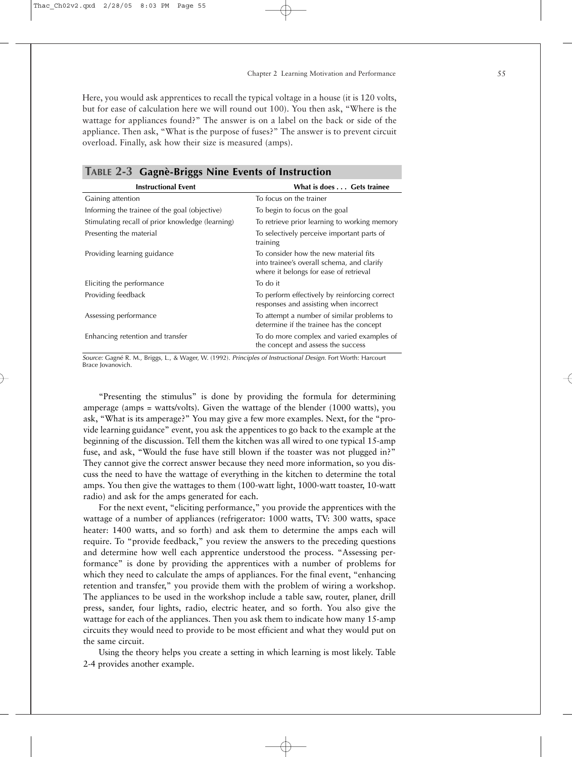Here, you would ask apprentices to recall the typical voltage in a house (it is 120 volts, but for ease of calculation here we will round out 100). You then ask, "Where is the wattage for appliances found?" The answer is on a label on the back or side of the appliance. Then ask, "What is the purpose of fuses?" The answer is to prevent circuit overload. Finally, ask how their size is measured (amps).

## **TABLE 2-3 Gagnè-Briggs Nine Events of Instruction**

| <b>Instructional Event</b>                       | What is does Gets trainee                                                                                                     |
|--------------------------------------------------|-------------------------------------------------------------------------------------------------------------------------------|
| Gaining attention                                | To focus on the trainer                                                                                                       |
| Informing the trainee of the goal (objective)    | To begin to focus on the goal                                                                                                 |
| Stimulating recall of prior knowledge (learning) | To retrieve prior learning to working memory                                                                                  |
| Presenting the material                          | To selectively perceive important parts of<br>training                                                                        |
| Providing learning guidance                      | To consider how the new material fits<br>into trainee's overall schema, and clarify<br>where it belongs for ease of retrieval |
| Eliciting the performance                        | To do it                                                                                                                      |
| Providing feedback                               | To perform effectively by reinforcing correct<br>responses and assisting when incorrect                                       |
| Assessing performance                            | To attempt a number of similar problems to<br>determine if the trainee has the concept                                        |
| Enhancing retention and transfer                 | To do more complex and varied examples of<br>the concept and assess the success                                               |

*Source:* Gagné R. M., Briggs, L., & Wager, W. (1992)*. Principles of Instructional Design.* Fort Worth: Harcourt Brace Jovanovich.

"Presenting the stimulus" is done by providing the formula for determining amperage (amps = watts/volts). Given the wattage of the blender (1000 watts), you ask, "What is its amperage?" You may give a few more examples. Next, for the "provide learning guidance" event, you ask the appentices to go back to the example at the beginning of the discussion. Tell them the kitchen was all wired to one typical 15-amp fuse, and ask, "Would the fuse have still blown if the toaster was not plugged in?" They cannot give the correct answer because they need more information, so you discuss the need to have the wattage of everything in the kitchen to determine the total amps. You then give the wattages to them (100-watt light, 1000-watt toaster, 10-watt radio) and ask for the amps generated for each.

For the next event, "eliciting performance," you provide the apprentices with the wattage of a number of appliances (refrigerator: 1000 watts, TV: 300 watts, space heater: 1400 watts, and so forth) and ask them to determine the amps each will require. To "provide feedback," you review the answers to the preceding questions and determine how well each apprentice understood the process. "Assessing performance" is done by providing the apprentices with a number of problems for which they need to calculate the amps of appliances. For the final event, "enhancing retention and transfer," you provide them with the problem of wiring a workshop. The appliances to be used in the workshop include a table saw, router, planer, drill press, sander, four lights, radio, electric heater, and so forth. You also give the wattage for each of the appliances. Then you ask them to indicate how many 15-amp circuits they would need to provide to be most efficient and what they would put on the same circuit.

Using the theory helps you create a setting in which learning is most likely. Table 2-4 provides another example.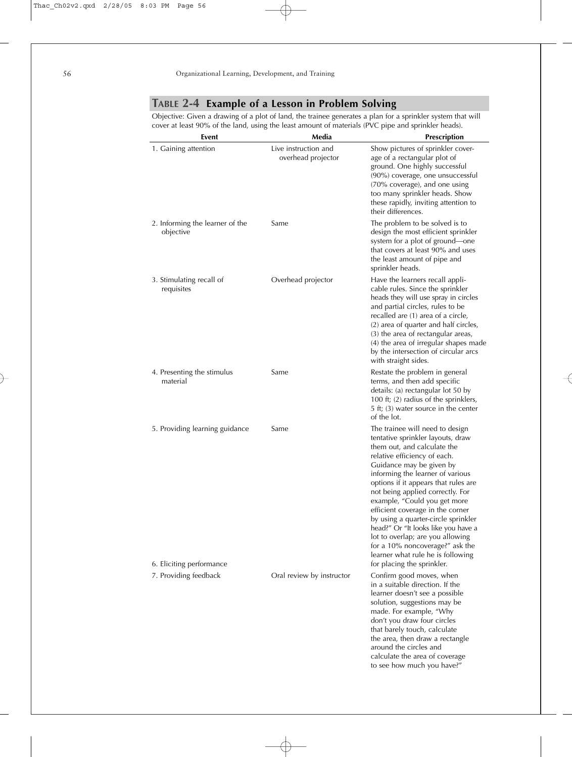# **TABLE 2-4 Example of a Lesson in Problem Solving**

Objective: Given a drawing of a plot of land, the trainee generates a plan for a sprinkler system that will cover at least 90% of the land, using the least amount of materials (PVC pipe and sprinkler heads).

| Event                                             | Media                                      | <b>Prescription</b>                                                                                                                                                                                                                                                                                                                                                                                                                                                                                                                           |
|---------------------------------------------------|--------------------------------------------|-----------------------------------------------------------------------------------------------------------------------------------------------------------------------------------------------------------------------------------------------------------------------------------------------------------------------------------------------------------------------------------------------------------------------------------------------------------------------------------------------------------------------------------------------|
| 1. Gaining attention                              | Live instruction and<br>overhead projector | Show pictures of sprinkler cover-<br>age of a rectangular plot of<br>ground. One highly successful<br>(90%) coverage, one unsuccessful<br>(70% coverage), and one using<br>too many sprinkler heads. Show<br>these rapidly, inviting attention to<br>their differences.                                                                                                                                                                                                                                                                       |
| 2. Informing the learner of the<br>objective      | Same                                       | The problem to be solved is to<br>design the most efficient sprinkler<br>system for a plot of ground-one<br>that covers at least 90% and uses<br>the least amount of pipe and<br>sprinkler heads.                                                                                                                                                                                                                                                                                                                                             |
| 3. Stimulating recall of<br>requisites            | Overhead projector                         | Have the learners recall appli-<br>cable rules. Since the sprinkler<br>heads they will use spray in circles<br>and partial circles, rules to be<br>recalled are (1) area of a circle,<br>(2) area of quarter and half circles,<br>(3) the area of rectangular areas,<br>(4) the area of irregular shapes made<br>by the intersection of circular arcs<br>with straight sides.                                                                                                                                                                 |
| 4. Presenting the stimulus<br>material            | Same                                       | Restate the problem in general<br>terms, and then add specific<br>details: (a) rectangular lot 50 by<br>100 ft; (2) radius of the sprinklers,<br>5 ft; (3) water source in the center<br>of the lot.                                                                                                                                                                                                                                                                                                                                          |
| 5. Providing learning guidance                    | Same                                       | The trainee will need to design<br>tentative sprinkler layouts, draw<br>them out, and calculate the<br>relative efficiency of each.<br>Guidance may be given by<br>informing the learner of various<br>options if it appears that rules are<br>not being applied correctly. For<br>example, "Could you get more<br>efficient coverage in the corner<br>by using a quarter-circle sprinkler<br>head?" Or "It looks like you have a<br>lot to overlap; are you allowing<br>for a 10% noncoverage?" ask the<br>learner what rule he is following |
| 6. Eliciting performance<br>7. Providing feedback | Oral review by instructor                  | for placing the sprinkler.<br>Confirm good moves, when<br>in a suitable direction. If the<br>learner doesn't see a possible<br>solution, suggestions may be<br>made. For example, "Why<br>don't you draw four circles<br>that barely touch, calculate<br>the area, then draw a rectangle<br>around the circles and<br>calculate the area of coverage<br>to see how much you have?"                                                                                                                                                            |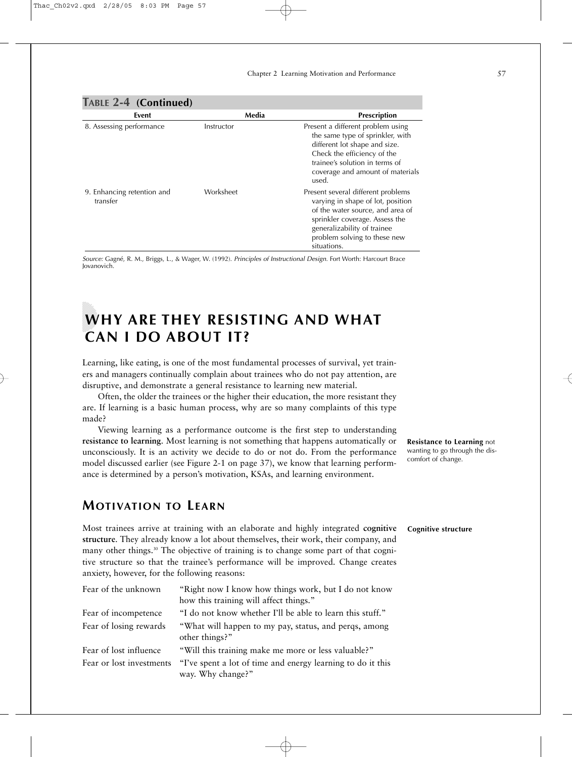## Chapter 2 Learning Motivation and Performance 57

| TABLE 2-4 (Continued)                  |            |                                                                                                                                                                                                                             |
|----------------------------------------|------------|-----------------------------------------------------------------------------------------------------------------------------------------------------------------------------------------------------------------------------|
| Event                                  | Media      | <b>Prescription</b>                                                                                                                                                                                                         |
| 8. Assessing performance               | Instructor | Present a different problem using<br>the same type of sprinkler, with<br>different lot shape and size.<br>Check the efficiency of the<br>trainee's solution in terms of<br>coverage and amount of materials<br>used.        |
| 9. Enhancing retention and<br>transfer | Worksheet  | Present several different problems<br>varying in shape of lot, position<br>of the water source, and area of<br>sprinkler coverage. Assess the<br>generalizability of trainee<br>problem solving to these new<br>situations. |

*Source:* Gagné, R. M., Briggs, L., & Wager, W. (1992). *Principles of Instructional Design.* Fort Worth: Harcourt Brace Jovanovich.

# **WHY ARE THEY RESISTING AND WHAT CAN I DO ABOUT IT?**

Learning, like eating, is one of the most fundamental processes of survival, yet trainers and managers continually complain about trainees who do not pay attention, are disruptive, and demonstrate a general resistance to learning new material.

Often, the older the trainees or the higher their education, the more resistant they are. If learning is a basic human process, why are so many complaints of this type made?

Viewing learning as a performance outcome is the first step to understanding **resistance to learning**. Most learning is not something that happens automatically or unconsciously. It is an activity we decide to do or not do. From the performance model discussed earlier (see Figure 2-1 on page 37), we know that learning performance is determined by a person's motivation, KSAs, and learning environment.

### **Resistance to Learning** not wanting to go through the discomfort of change.

**Cognitive structure**

## **MOTIVATION TO LEARN**

Most trainees arrive at training with an elaborate and highly integrated **cognitive structure**. They already know a lot about themselves, their work, their company, and many other things.<sup>30</sup> The objective of training is to change some part of that cognitive structure so that the trainee's performance will be improved. Change creates anxiety, however, for the following reasons:

| Fear of the unknown      | "Right now I know how things work, but I do not know<br>how this training will affect things." |
|--------------------------|------------------------------------------------------------------------------------------------|
| Fear of incompetence     | "I do not know whether I'll be able to learn this stuff."                                      |
| Fear of losing rewards   | "What will happen to my pay, status, and pergs, among<br>other things?"                        |
| Fear of lost influence   | "Will this training make me more or less valuable?"                                            |
| Fear or lost investments | "I've spent a lot of time and energy learning to do it this<br>way. Why change?"               |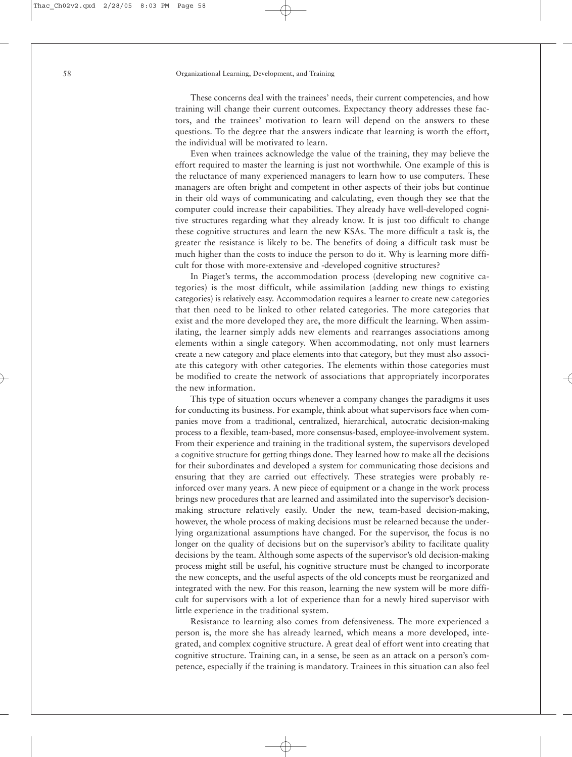These concerns deal with the trainees' needs, their current competencies, and how training will change their current outcomes. Expectancy theory addresses these factors, and the trainees' motivation to learn will depend on the answers to these questions. To the degree that the answers indicate that learning is worth the effort, the individual will be motivated to learn.

Even when trainees acknowledge the value of the training, they may believe the effort required to master the learning is just not worthwhile. One example of this is the reluctance of many experienced managers to learn how to use computers. These managers are often bright and competent in other aspects of their jobs but continue in their old ways of communicating and calculating, even though they see that the computer could increase their capabilities. They already have well-developed cognitive structures regarding what they already know. It is just too difficult to change these cognitive structures and learn the new KSAs. The more difficult a task is, the greater the resistance is likely to be. The benefits of doing a difficult task must be much higher than the costs to induce the person to do it. Why is learning more difficult for those with more-extensive and -developed cognitive structures?

In Piaget's terms, the accommodation process (developing new cognitive categories) is the most difficult, while assimilation (adding new things to existing categories) is relatively easy. Accommodation requires a learner to create new categories that then need to be linked to other related categories. The more categories that exist and the more developed they are, the more difficult the learning. When assimilating, the learner simply adds new elements and rearranges associations among elements within a single category. When accommodating, not only must learners create a new category and place elements into that category, but they must also associate this category with other categories. The elements within those categories must be modified to create the network of associations that appropriately incorporates the new information.

This type of situation occurs whenever a company changes the paradigms it uses for conducting its business. For example, think about what supervisors face when companies move from a traditional, centralized, hierarchical, autocratic decision-making process to a flexible, team-based, more consensus-based, employee-involvement system. From their experience and training in the traditional system, the supervisors developed a cognitive structure for getting things done. They learned how to make all the decisions for their subordinates and developed a system for communicating those decisions and ensuring that they are carried out effectively. These strategies were probably reinforced over many years. A new piece of equipment or a change in the work process brings new procedures that are learned and assimilated into the supervisor's decisionmaking structure relatively easily. Under the new, team-based decision-making, however, the whole process of making decisions must be relearned because the underlying organizational assumptions have changed. For the supervisor, the focus is no longer on the quality of decisions but on the supervisor's ability to facilitate quality decisions by the team. Although some aspects of the supervisor's old decision-making process might still be useful, his cognitive structure must be changed to incorporate the new concepts, and the useful aspects of the old concepts must be reorganized and integrated with the new. For this reason, learning the new system will be more difficult for supervisors with a lot of experience than for a newly hired supervisor with little experience in the traditional system.

Resistance to learning also comes from defensiveness. The more experienced a person is, the more she has already learned, which means a more developed, integrated, and complex cognitive structure. A great deal of effort went into creating that cognitive structure. Training can, in a sense, be seen as an attack on a person's competence, especially if the training is mandatory. Trainees in this situation can also feel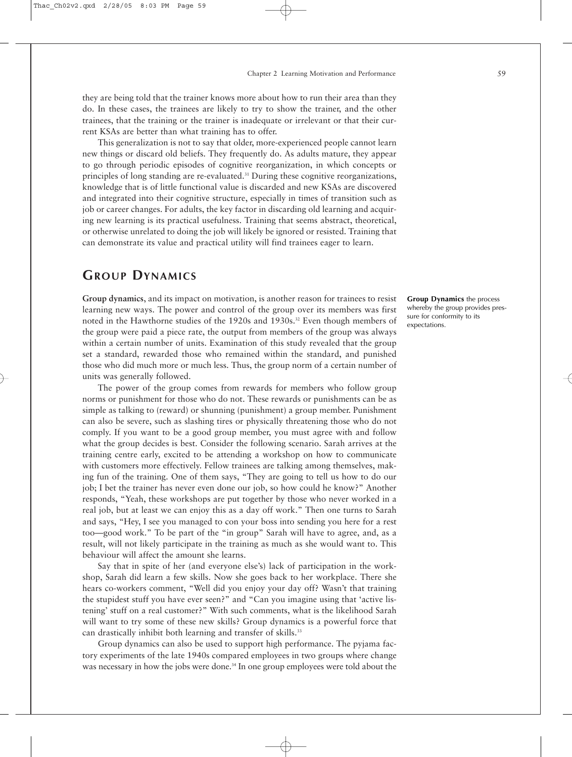they are being told that the trainer knows more about how to run their area than they do. In these cases, the trainees are likely to try to show the trainer, and the other trainees, that the training or the trainer is inadequate or irrelevant or that their current KSAs are better than what training has to offer.

This generalization is not to say that older, more-experienced people cannot learn new things or discard old beliefs. They frequently do. As adults mature, they appear to go through periodic episodes of cognitive reorganization, in which concepts or principles of long standing are re-evaluated.<sup>31</sup> During these cognitive reorganizations, knowledge that is of little functional value is discarded and new KSAs are discovered and integrated into their cognitive structure, especially in times of transition such as job or career changes. For adults, the key factor in discarding old learning and acquiring new learning is its practical usefulness. Training that seems abstract, theoretical, or otherwise unrelated to doing the job will likely be ignored or resisted. Training that can demonstrate its value and practical utility will find trainees eager to learn.

## **GROUP DYNAMICS**

**Group dynamics**, and its impact on motivation, is another reason for trainees to resist learning new ways. The power and control of the group over its members was first noted in the Hawthorne studies of the 1920s and 1930s.32 Even though members of the group were paid a piece rate, the output from members of the group was always within a certain number of units. Examination of this study revealed that the group set a standard, rewarded those who remained within the standard, and punished those who did much more or much less. Thus, the group norm of a certain number of units was generally followed.

The power of the group comes from rewards for members who follow group norms or punishment for those who do not. These rewards or punishments can be as simple as talking to (reward) or shunning (punishment) a group member. Punishment can also be severe, such as slashing tires or physically threatening those who do not comply. If you want to be a good group member, you must agree with and follow what the group decides is best. Consider the following scenario. Sarah arrives at the training centre early, excited to be attending a workshop on how to communicate with customers more effectively. Fellow trainees are talking among themselves, making fun of the training. One of them says, "They are going to tell us how to do our job; I bet the trainer has never even done our job, so how could he know?" Another responds, "Yeah, these workshops are put together by those who never worked in a real job, but at least we can enjoy this as a day off work." Then one turns to Sarah and says, "Hey, I see you managed to con your boss into sending you here for a rest too—good work." To be part of the "in group" Sarah will have to agree, and, as a result, will not likely participate in the training as much as she would want to. This behaviour will affect the amount she learns.

Say that in spite of her (and everyone else's) lack of participation in the workshop, Sarah did learn a few skills. Now she goes back to her workplace. There she hears co-workers comment, "Well did you enjoy your day off? Wasn't that training the stupidest stuff you have ever seen?" and "Can you imagine using that 'active listening' stuff on a real customer?" With such comments, what is the likelihood Sarah will want to try some of these new skills? Group dynamics is a powerful force that can drastically inhibit both learning and transfer of skills.<sup>33</sup>

Group dynamics can also be used to support high performance. The pyjama factory experiments of the late 1940s compared employees in two groups where change was necessary in how the jobs were done.<sup>34</sup> In one group employees were told about the **Group Dynamics** the process whereby the group provides pressure for conformity to its expectations.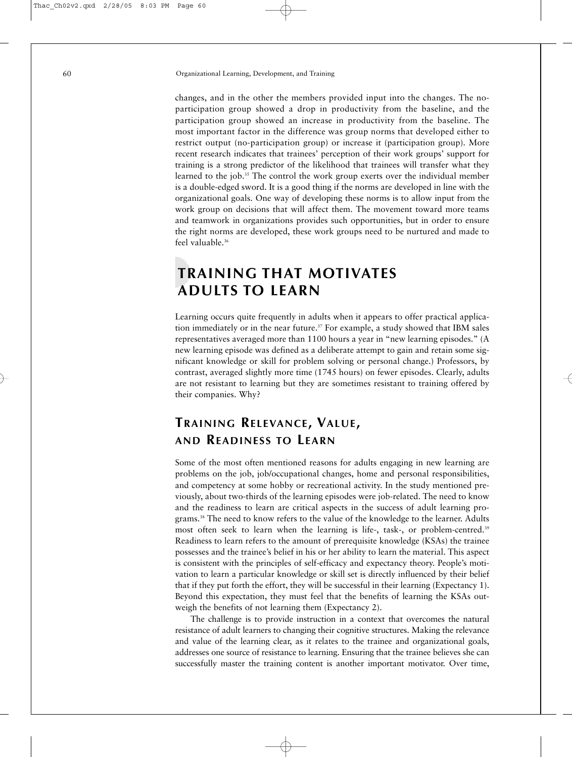changes, and in the other the members provided input into the changes. The noparticipation group showed a drop in productivity from the baseline, and the participation group showed an increase in productivity from the baseline. The most important factor in the difference was group norms that developed either to restrict output (no-participation group) or increase it (participation group). More recent research indicates that trainees' perception of their work groups' support for training is a strong predictor of the likelihood that trainees will transfer what they learned to the job.<sup>35</sup> The control the work group exerts over the individual member is a double-edged sword. It is a good thing if the norms are developed in line with the organizational goals. One way of developing these norms is to allow input from the work group on decisions that will affect them. The movement toward more teams and teamwork in organizations provides such opportunities, but in order to ensure the right norms are developed, these work groups need to be nurtured and made to feel valuable.36

# **TRAINING THAT MOTIVATES ADULTS TO LEARN**

Learning occurs quite frequently in adults when it appears to offer practical application immediately or in the near future.<sup>37</sup> For example, a study showed that IBM sales representatives averaged more than 1100 hours a year in "new learning episodes." (A new learning episode was defined as a deliberate attempt to gain and retain some significant knowledge or skill for problem solving or personal change.) Professors, by contrast, averaged slightly more time (1745 hours) on fewer episodes. Clearly, adults are not resistant to learning but they are sometimes resistant to training offered by their companies. Why?

## **TRAINING RELEVANCE, VALUE, AND READINESS TO LEARN**

Some of the most often mentioned reasons for adults engaging in new learning are problems on the job, job/occupational changes, home and personal responsibilities, and competency at some hobby or recreational activity. In the study mentioned previously, about two-thirds of the learning episodes were job-related. The need to know and the readiness to learn are critical aspects in the success of adult learning programs.38 The need to know refers to the value of the knowledge to the learner. Adults most often seek to learn when the learning is life-, task-, or problem-centred.<sup>39</sup> Readiness to learn refers to the amount of prerequisite knowledge (KSAs) the trainee possesses and the trainee's belief in his or her ability to learn the material. This aspect is consistent with the principles of self-efficacy and expectancy theory. People's motivation to learn a particular knowledge or skill set is directly influenced by their belief that if they put forth the effort, they will be successful in their learning (Expectancy 1). Beyond this expectation, they must feel that the benefits of learning the KSAs outweigh the benefits of not learning them (Expectancy 2).

The challenge is to provide instruction in a context that overcomes the natural resistance of adult learners to changing their cognitive structures. Making the relevance and value of the learning clear, as it relates to the trainee and organizational goals, addresses one source of resistance to learning. Ensuring that the trainee believes she can successfully master the training content is another important motivator. Over time,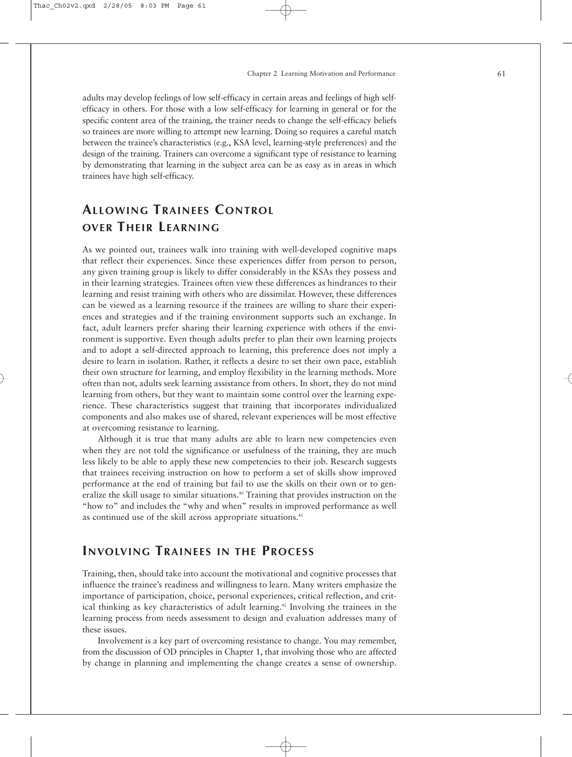adults may develop feelings of low self-efficacy in certain areas and feelings of high selfefficacy in others. For those with a low self-efficacy for learning in general or for the specific content area of the training, the trainer needs to change the self-efficacy beliefs so trainees are more willing to attempt new learning. Doing so requires a careful match between the trainee's characteristics (e.g., KSA level, learning-style preferences) and the design of the training. Trainers can overcome a significant type of resistance to learning by demonstrating that learning in the subject area can be as easy as in areas in which trainees have high self-efficacy.

## **ALLOWING TRAINEES CONTROL OVER THEIR LEARNING**

As we pointed out, trainees walk into training with well-developed cognitive maps that reflect their experiences. Since these experiences differ from person to person, any given training group is likely to differ considerably in the KSAs they possess and in their learning strategies. Trainees often view these differences as hindrances to their learning and resist training with others who are dissimilar. However, these differences can be viewed as a learning resource if the trainees are willing to share their experiences and strategies and if the training environment supports such an exchange. In fact, adult learners prefer sharing their learning experience with others if the environment is supportive. Even though adults prefer to plan their own learning projects and to adopt a self-directed approach to learning, this preference does not imply a desire to learn in isolation. Rather, it reflects a desire to set their own pace, establish their own structure for learning, and employ flexibility in the learning methods. More often than not, adults seek learning assistance from others. In short, they do not mind learning from others, but they want to maintain some control over the learning experience. These characteristics suggest that training that incorporates individualized components and also makes use of shared, relevant experiences will be most effective at overcoming resistance to learning.

Although it is true that many adults are able to learn new competencies even when they are not told the significance or usefulness of the training, they are much less likely to be able to apply these new competencies to their job. Research suggests that trainees receiving instruction on how to perform a set of skills show improved performance at the end of training but fail to use the skills on their own or to generalize the skill usage to similar situations.<sup>40</sup> Training that provides instruction on the "how to" and includes the "why and when" results in improved performance as well as continued use of the skill across appropriate situations.<sup>41</sup>

## **INVOLVING TRAINEES IN THE PROCESS**

Training, then, should take into account the motivational and cognitive processes that influence the trainee's readiness and willingness to learn. Many writers emphasize the importance of participation, choice, personal experiences, critical reflection, and critical thinking as key characteristics of adult learning.<sup>42</sup> Involving the trainees in the learning process from needs assessment to design and evaluation addresses many of these issues.

Involvement is a key part of overcoming resistance to change. You may remember, from the discussion of OD principles in Chapter 1, that involving those who are affected by change in planning and implementing the change creates a sense of ownership.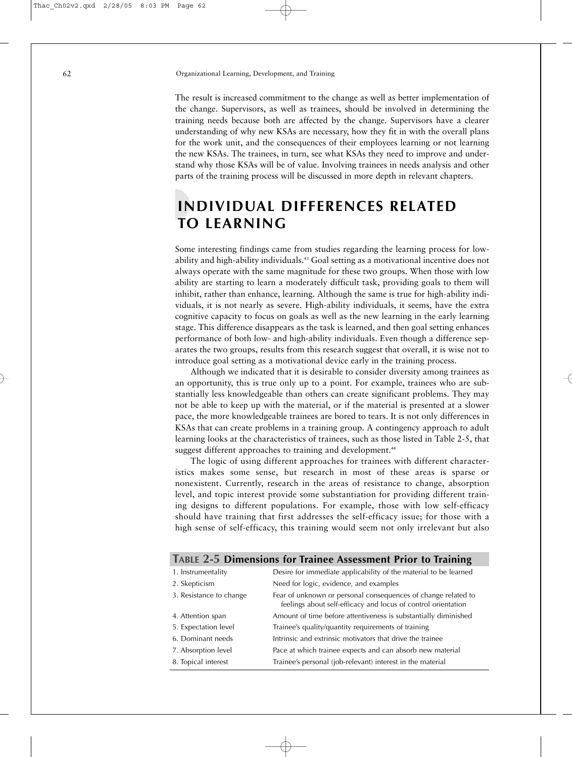The result is increased commitment to the change as well as better implementation of the change. Supervisors, as well as trainees, should be involved in determining the training needs because both are affected by the change. Supervisors have a clearer understanding of why new KSAs are necessary, how they fit in with the overall plans for the work unit, and the consequences of their employees learning or not learning the new KSAs. The trainees, in turn, see what KSAs they need to improve and understand why those KSAs will be of value. Involving trainees in needs analysis and other parts of the training process will be discussed in more depth in relevant chapters.

# **INDIVIDUAL DIFFERENCES RELATED TO LEARNING**

Some interesting findings came from studies regarding the learning process for lowability and high-ability individuals.43 Goal setting as a motivational incentive does not always operate with the same magnitude for these two groups. When those with low ability are starting to learn a moderately difficult task, providing goals to them will inhibit, rather than enhance, learning. Although the same is true for high-ability individuals, it is not nearly as severe. High-ability individuals, it seems, have the extra cognitive capacity to focus on goals as well as the new learning in the early learning stage. This difference disappears as the task is learned, and then goal setting enhances performance of both low- and high-ability individuals. Even though a difference separates the two groups, results from this research suggest that overall, it is wise not to introduce goal setting as a motivational device early in the training process.

Although we indicated that it is desirable to consider diversity among trainees as an opportunity, this is true only up to a point. For example, trainees who are substantially less knowledgeable than others can create significant problems. They may not be able to keep up with the material, or if the material is presented at a slower pace, the more knowledgeable trainees are bored to tears. It is not only differences in KSAs that can create problems in a training group. A contingency approach to adult learning looks at the characteristics of trainees, such as those listed in Table 2-5, that suggest different approaches to training and development.<sup>44</sup>

The logic of using different approaches for trainees with different characteristics makes some sense, but research in most of these areas is sparse or nonexistent. Currently, research in the areas of resistance to change, absorption level, and topic interest provide some substantiation for providing different training designs to different populations. For example, those with low self-efficacy should have training that first addresses the self-efficacy issue; for those with a high sense of self-efficacy, this training would seem not only irrelevant but also

## **TABLE 2-5 Dimensions for Trainee Assessment Prior to Training**

| 1. Instrumentality      | Desire for immediate applicability of the material to be learned                                                               |
|-------------------------|--------------------------------------------------------------------------------------------------------------------------------|
| 2. Skepticism           | Need for logic, evidence, and examples                                                                                         |
| 3. Resistance to change | Fear of unknown or personal consequences of change related to<br>feelings about self-efficacy and locus of control orientation |
| 4. Attention span       | Amount of time before attentiveness is substantially diminished                                                                |
| 5. Expectation level    | Trainee's quality/quantity requirements of training                                                                            |
| 6. Dominant needs       | Intrinsic and extrinsic motivators that drive the trainee                                                                      |
| 7. Absorption level     | Pace at which trainee expects and can absorb new material                                                                      |
| 8. Topical interest     | Trainee's personal (job-relevant) interest in the material                                                                     |
|                         |                                                                                                                                |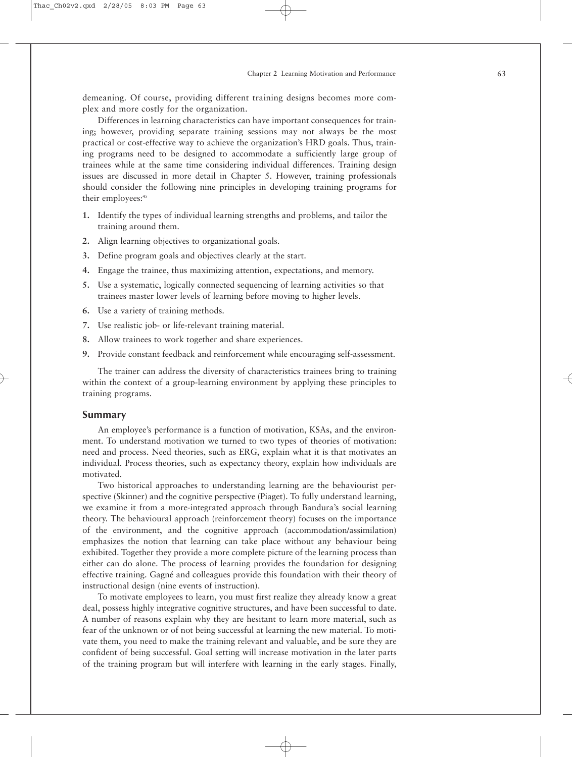demeaning. Of course, providing different training designs becomes more complex and more costly for the organization.

Differences in learning characteristics can have important consequences for training; however, providing separate training sessions may not always be the most practical or cost-effective way to achieve the organization's HRD goals. Thus, training programs need to be designed to accommodate a sufficiently large group of trainees while at the same time considering individual differences. Training design issues are discussed in more detail in Chapter 5. However, training professionals should consider the following nine principles in developing training programs for their employees:<sup>45</sup>

- **1.** Identify the types of individual learning strengths and problems, and tailor the training around them.
- **2.** Align learning objectives to organizational goals.
- **3.** Define program goals and objectives clearly at the start.
- **4.** Engage the trainee, thus maximizing attention, expectations, and memory.
- **5.** Use a systematic, logically connected sequencing of learning activities so that trainees master lower levels of learning before moving to higher levels.
- **6.** Use a variety of training methods.
- **7.** Use realistic job- or life-relevant training material.
- **8.** Allow trainees to work together and share experiences.
- **9.** Provide constant feedback and reinforcement while encouraging self-assessment.

The trainer can address the diversity of characteristics trainees bring to training within the context of a group-learning environment by applying these principles to training programs.

## **Summary**

An employee's performance is a function of motivation, KSAs, and the environment. To understand motivation we turned to two types of theories of motivation: need and process. Need theories, such as ERG, explain what it is that motivates an individual. Process theories, such as expectancy theory, explain how individuals are motivated.

Two historical approaches to understanding learning are the behaviourist perspective (Skinner) and the cognitive perspective (Piaget). To fully understand learning, we examine it from a more-integrated approach through Bandura's social learning theory. The behavioural approach (reinforcement theory) focuses on the importance of the environment, and the cognitive approach (accommodation/assimilation) emphasizes the notion that learning can take place without any behaviour being exhibited. Together they provide a more complete picture of the learning process than either can do alone. The process of learning provides the foundation for designing effective training. Gagné and colleagues provide this foundation with their theory of instructional design (nine events of instruction).

To motivate employees to learn, you must first realize they already know a great deal, possess highly integrative cognitive structures, and have been successful to date. A number of reasons explain why they are hesitant to learn more material, such as fear of the unknown or of not being successful at learning the new material. To motivate them, you need to make the training relevant and valuable, and be sure they are confident of being successful. Goal setting will increase motivation in the later parts of the training program but will interfere with learning in the early stages. Finally,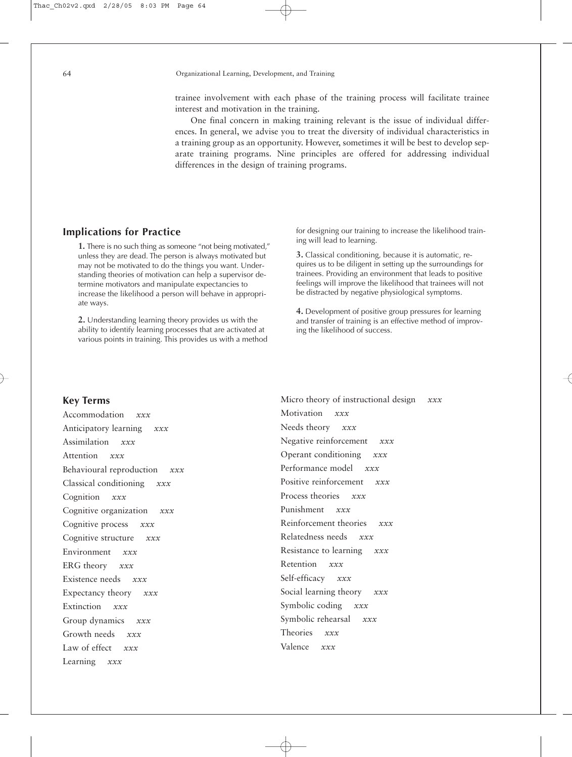trainee involvement with each phase of the training process will facilitate trainee interest and motivation in the training.

One final concern in making training relevant is the issue of individual differences. In general, we advise you to treat the diversity of individual characteristics in a training group as an opportunity. However, sometimes it will be best to develop separate training programs. Nine principles are offered for addressing individual differences in the design of training programs.

## **Implications for Practice**

**1.** There is no such thing as someone "not being motivated," unless they are dead. The person is always motivated but may not be motivated to do the things you want. Understanding theories of motivation can help a supervisor determine motivators and manipulate expectancies to increase the likelihood a person will behave in appropriate ways.

**2.** Understanding learning theory provides us with the ability to identify learning processes that are activated at various points in training. This provides us with a method for designing our training to increase the likelihood training will lead to learning.

**3.** Classical conditioning, because it is automatic, requires us to be diligent in setting up the surroundings for trainees. Providing an environment that leads to positive feelings will improve the likelihood that trainees will not be distracted by negative physiological symptoms.

**4.** Development of positive group pressures for learning and transfer of training is an effective method of improving the likelihood of success.

## **Key Terms**

Accommodation *xxx* Anticipatory learning *xxx* Assimilation *xxx* Attention *xxx* Behavioural reproduction *xxx* Classical conditioning *xxx* Cognition *xxx* Cognitive organization *xxx* Cognitive process *xxx* Cognitive structure *xxx* Environment *xxx* ERG theory *xxx* Existence needs *xxx* Expectancy theory *xxx* Extinction *xxx* Group dynamics *xxx* Growth needs *xxx* Law of effect *xxx* Learning *xxx*

Micro theory of instructional design *xxx* Motivation *xxx* Needs theory *xxx* Negative reinforcement *xxx* Operant conditioning *xxx* Performance model *xxx* Positive reinforcement *xxx* Process theories *xxx* Punishment *xxx* Reinforcement theories *xxx* Relatedness needs *xxx* Resistance to learning *xxx* Retention *xxx* Self-efficacy *xxx* Social learning theory *xxx* Symbolic coding *xxx* Symbolic rehearsal *xxx* Theories *xxx* Valence *xxx*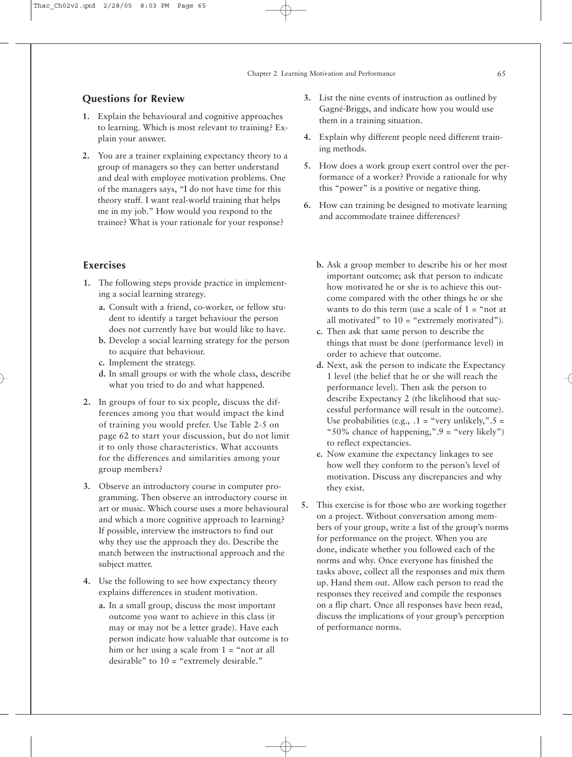## **Questions for Review**

- **1.** Explain the behavioural and cognitive approaches to learning. Which is most relevant to training? Explain your answer.
- **2.** You are a trainer explaining expectancy theory to a group of managers so they can better understand and deal with employee motivation problems. One of the managers says, "I do not have time for this theory stuff. I want real-world training that helps me in my job." How would you respond to the trainee? What is your rationale for your response?

## **Exercises**

- **1.** The following steps provide practice in implementing a social learning strategy.
	- **a.** Consult with a friend, co-worker, or fellow student to identify a target behaviour the person does not currently have but would like to have.
	- **b.** Develop a social learning strategy for the person to acquire that behaviour.
	- **c.** Implement the strategy.
	- **d.** In small groups or with the whole class, describe what you tried to do and what happened.
- **2.** In groups of four to six people, discuss the differences among you that would impact the kind of training you would prefer. Use Table 2-5 on page 62 to start your discussion, but do not limit it to only those characteristics. What accounts for the differences and similarities among your group members?
- **3.** Observe an introductory course in computer programming. Then observe an introductory course in art or music. Which course uses a more behavioural and which a more cognitive approach to learning? If possible, interview the instructors to find out why they use the approach they do. Describe the match between the instructional approach and the subject matter.
- **4.** Use the following to see how expectancy theory explains differences in student motivation.
	- **a.** In a small group, discuss the most important outcome you want to achieve in this class (it may or may not be a letter grade). Have each person indicate how valuable that outcome is to him or her using a scale from  $1 = \text{``not at all" }$ desirable" to 10 = "extremely desirable."
- **3.** List the nine events of instruction as outlined by Gagné-Briggs, and indicate how you would use them in a training situation.
- **4.** Explain why different people need different training methods.
- **5.** How does a work group exert control over the performance of a worker? Provide a rationale for why this "power" is a positive or negative thing.
- **6.** How can training be designed to motivate learning and accommodate trainee differences?
	- **b.** Ask a group member to describe his or her most important outcome; ask that person to indicate how motivated he or she is to achieve this outcome compared with the other things he or she wants to do this term (use a scale of  $1 =$  "not at all motivated" to  $10 =$  "extremely motivated").
	- **c.** Then ask that same person to describe the things that must be done (performance level) in order to achieve that outcome.
	- **d.** Next, ask the person to indicate the Expectancy 1 level (the belief that he or she will reach the performance level). Then ask the person to describe Expectancy 2 (the likelihood that successful performance will result in the outcome). Use probabilities (e.g.,  $.1 =$  "very unlikely,".5 = "50% chance of happening,".9 = "very likely") to reflect expectancies.
	- **e.** Now examine the expectancy linkages to see how well they conform to the person's level of motivation. Discuss any discrepancies and why they exist.
- **5.** This exercise is for those who are working together on a project. Without conversation among members of your group, write a list of the group's norms for performance on the project. When you are done, indicate whether you followed each of the norms and why. Once everyone has finished the tasks above, collect all the responses and mix them up. Hand them out. Allow each person to read the responses they received and compile the responses on a flip chart. Once all responses have been read, discuss the implications of your group's perception of performance norms.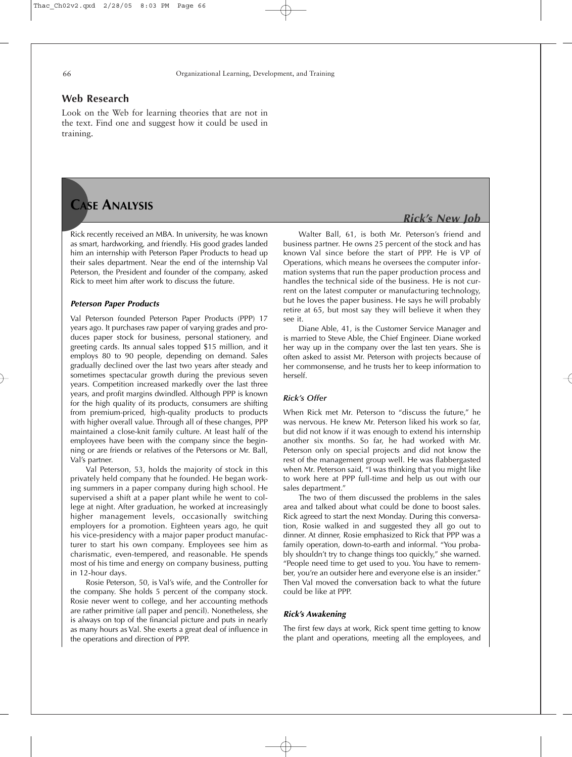## **Web Research**

Look on the Web for learning theories that are not in the text. Find one and suggest how it could be used in training.

## **CASE ANALYSIS**

Rick recently received an MBA. In university, he was known as smart, hardworking, and friendly. His good grades landed him an internship with Peterson Paper Products to head up their sales department. Near the end of the internship Val Peterson, the President and founder of the company, asked Rick to meet him after work to discuss the future.

## *Peterson Paper Products*

Val Peterson founded Peterson Paper Products (PPP) 17 years ago. It purchases raw paper of varying grades and produces paper stock for business, personal stationery, and greeting cards. Its annual sales topped \$15 million, and it employs 80 to 90 people, depending on demand. Sales gradually declined over the last two years after steady and sometimes spectacular growth during the previous seven years. Competition increased markedly over the last three years, and profit margins dwindled. Although PPP is known for the high quality of its products, consumers are shifting from premium-priced, high-quality products to products with higher overall value. Through all of these changes, PPP maintained a close-knit family culture. At least half of the employees have been with the company since the beginning or are friends or relatives of the Petersons or Mr. Ball, Val's partner.

Val Peterson, 53, holds the majority of stock in this privately held company that he founded. He began working summers in a paper company during high school. He supervised a shift at a paper plant while he went to college at night. After graduation, he worked at increasingly higher management levels, occasionally switching employers for a promotion. Eighteen years ago, he quit his vice-presidency with a major paper product manufacturer to start his own company. Employees see him as charismatic, even-tempered, and reasonable. He spends most of his time and energy on company business, putting in 12-hour days.

Rosie Peterson, 50, is Val's wife, and the Controller for the company. She holds 5 percent of the company stock. Rosie never went to college, and her accounting methods are rather primitive (all paper and pencil). Nonetheless, she is always on top of the financial picture and puts in nearly as many hours as Val. She exerts a great deal of influence in the operations and direction of PPP.

## *Rick's New Job*

Walter Ball, 61, is both Mr. Peterson's friend and business partner. He owns 25 percent of the stock and has known Val since before the start of PPP. He is VP of Operations, which means he oversees the computer information systems that run the paper production process and handles the technical side of the business. He is not current on the latest computer or manufacturing technology, but he loves the paper business. He says he will probably retire at 65, but most say they will believe it when they see it.

Diane Able, 41, is the Customer Service Manager and is married to Steve Able, the Chief Engineer. Diane worked her way up in the company over the last ten years. She is often asked to assist Mr. Peterson with projects because of her commonsense, and he trusts her to keep information to herself.

#### *Rick's Offer*

When Rick met Mr. Peterson to "discuss the future," he was nervous. He knew Mr. Peterson liked his work so far, but did not know if it was enough to extend his internship another six months. So far, he had worked with Mr. Peterson only on special projects and did not know the rest of the management group well. He was flabbergasted when Mr. Peterson said, "I was thinking that you might like to work here at PPP full-time and help us out with our sales department."

The two of them discussed the problems in the sales area and talked about what could be done to boost sales. Rick agreed to start the next Monday. During this conversation, Rosie walked in and suggested they all go out to dinner. At dinner, Rosie emphasized to Rick that PPP was a family operation, down-to-earth and informal. "You probably shouldn't try to change things too quickly," she warned. "People need time to get used to you. You have to remember, you're an outsider here and everyone else is an insider." Then Val moved the conversation back to what the future could be like at PPP.

### *Rick's Awakening*

The first few days at work, Rick spent time getting to know the plant and operations, meeting all the employees, and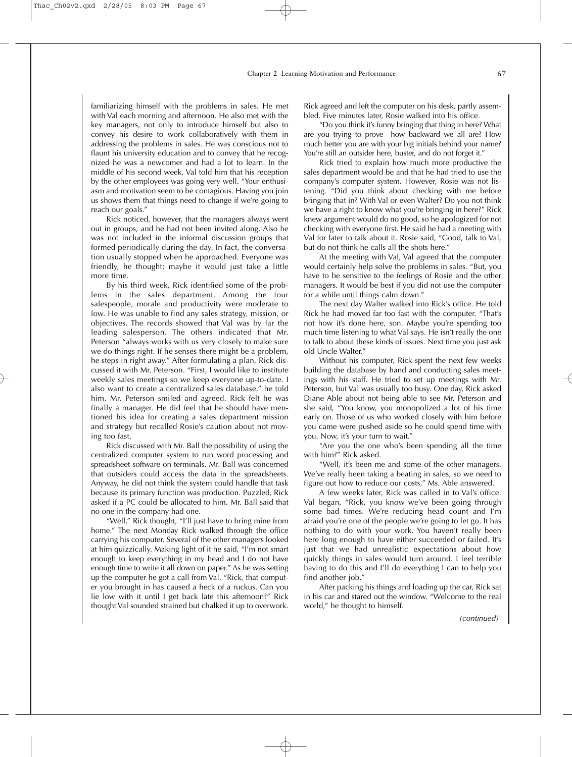### Chapter 2 Learning Motivation and Performance 67

familiarizing himself with the problems in sales. He met with Val each morning and afternoon. He also met with the key managers, not only to introduce himself but also to convey his desire to work collaboratively with them in addressing the problems in sales. He was conscious not to flaunt his university education and to convey that he recognized he was a newcomer and had a lot to learn. In the middle of his second week, Val told him that his reception by the other employees was going very well. "Your enthusiasm and motivation seem to be contagious. Having you join us shows them that things need to change if we're going to reach our goals."

Rick noticed, however, that the managers always went out in groups, and he had not been invited along. Also he was not included in the informal discussion groups that formed periodically during the day. In fact, the conversation usually stopped when he approached. Everyone was friendly, he thought; maybe it would just take a little more time.

By his third week, Rick identified some of the problems in the sales department. Among the four salespeople, morale and productivity were moderate to low. He was unable to find any sales strategy, mission, or objectives. The records showed that Val was by far the leading salesperson. The others indicated that Mr. Peterson "always works with us very closely to make sure we do things right. If he senses there might be a problem, he steps in right away." After formulating a plan, Rick discussed it with Mr. Peterson. "First, I would like to institute weekly sales meetings so we keep everyone up-to-date. I also want to create a centralized sales database," he told him. Mr. Peterson smiled and agreed. Rick felt he was finally a manager. He did feel that he should have mentioned his idea for creating a sales department mission and strategy but recalled Rosie's caution about not moving too fast.

Rick discussed with Mr. Ball the possibility of using the centralized computer system to run word processing and spreadsheet software on terminals. Mr. Ball was concerned that outsiders could access the data in the spreadsheets. Anyway, he did not think the system could handle that task because its primary function was production. Puzzled, Rick asked if a PC could be allocated to him. Mr. Ball said that no one in the company had one.

"Well," Rick thought, "I'll just have to bring mine from home." The next Monday Rick walked through the office carrying his computer. Several of the other managers looked at him quizzically. Making light of it he said, "I'm not smart enough to keep everything in my head and I do not have enough time to write it all down on paper." As he was setting up the computer he got a call from Val. "Rick, that computer you brought in has caused a heck of a ruckus. Can you lie low with it until I get back late this afternoon?" Rick thought Val sounded strained but chalked it up to overwork.

Rick agreed and left the computer on his desk, partly assembled. Five minutes later, Rosie walked into his office.

"Do you think it's funny bringing that thing in here? What are you trying to prove—how backward we all are? How much better you are with your big initials behind your name? You're still an outsider here, buster, and do not forget it."

Rick tried to explain how much more productive the sales department would be and that he had tried to use the company's computer system. However, Rosie was not listening. "Did you think about checking with me before bringing that in? With Val or even Walter? Do you not think we have a right to know what you're bringing in here?" Rick knew argument would do no good, so he apologized for not checking with everyone first. He said he had a meeting with Val for later to talk about it. Rosie said, "Good, talk to Val, but do not think he calls all the shots here."

At the meeting with Val, Val agreed that the computer would certainly help solve the problems in sales. "But, you have to be sensitive to the feelings of Rosie and the other managers. It would be best if you did not use the computer for a while until things calm down."

The next day Walter walked into Rick's office. He told Rick he had moved far too fast with the computer. "That's not how it's done here, son. Maybe you're spending too much time listening to what Val says. He isn't really the one to talk to about these kinds of issues. Next time you just ask old Uncle Walter."

Without his computer, Rick spent the next few weeks building the database by hand and conducting sales meetings with his staff. He tried to set up meetings with Mr. Peterson, but Val was usually too busy. One day, Rick asked Diane Able about not being able to see Mr. Peterson and she said, "You know, you monopolized a lot of his time early on. Those of us who worked closely with him before you came were pushed aside so he could spend time with you. Now, it's your turn to wait."

"Are you the one who's been spending all the time with him?" Rick asked.

"Well, it's been me and some of the other managers. We've really been taking a beating in sales, so we need to figure out how to reduce our costs," Ms. Able answered.

A few weeks later, Rick was called in to Val's office. Val began, "Rick, you know we've been going through some bad times. We're reducing head count and I'm afraid you're one of the people we're going to let go. It has nothing to do with your work. You haven't really been here long enough to have either succeeded or failed. It's just that we had unrealistic expectations about how quickly things in sales would turn around. I feel terrible having to do this and I'll do everything I can to help you find another job."

After packing his things and loading up the car, Rick sat in his car and stared out the window. "Welcome to the real world," he thought to himself.

*(continued)*